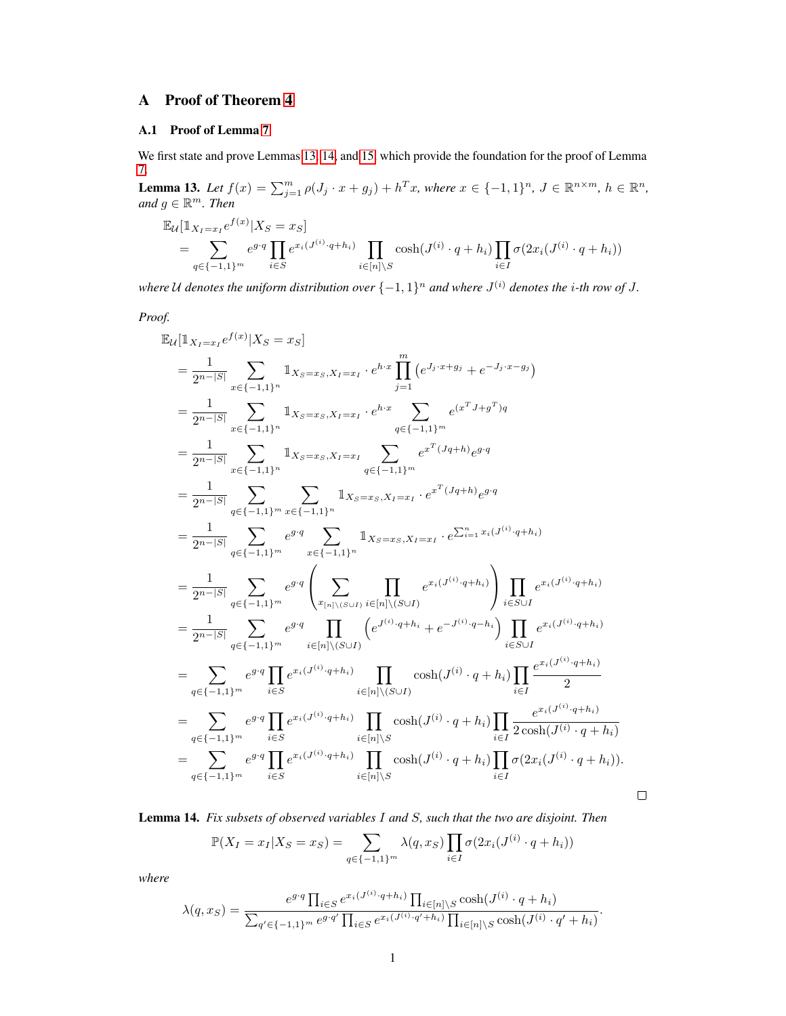# A Proof of Theorem 4

## A.1 Proof of Lemma 7

We first state and prove Lemmas [13,](#page-0-0) [14,](#page-0-1) and [15,](#page-1-0) which provide the foundation for the proof of Lemma 7.

<span id="page-0-0"></span>**Lemma 13.** Let  $f(x) = \sum_{j=1}^{m} \rho(J_j \cdot x + g_j) + h^T x$ , where  $x \in \{-1,1\}^n$ ,  $J \in \mathbb{R}^{n \times m}$ ,  $h \in \mathbb{R}^n$ ,  $and g \in \mathbb{R}^m$ . Then

$$
\mathbb{E}_{\mathcal{U}}[\mathbb{1}_{X_I=x_I}e^{f(x)}|X_S = x_S] = \sum_{q \in \{-1,1\}^m} e^{g \cdot q} \prod_{i \in S} e^{x_i(J^{(i)} \cdot q + h_i)} \prod_{i \in [n] \setminus S} \cosh(J^{(i)} \cdot q + h_i) \prod_{i \in I} \sigma(2x_i(J^{(i)} \cdot q + h_i))
$$

where U denotes the uniform distribution over  $\{-1,1\}^n$  and where  $J^{(i)}$  denotes the *i*-th row of J.

*Proof.*

$$
\mathbb{E}_{\mathcal{U}}[\mathbbm{1}_{X_{I}=x_{I}}e^{f(x)}|X_{S}=x_{S}]
$$
\n
$$
=\frac{1}{2^{n-|S|}}\sum_{x\in\{-1,1\}^{n}}\mathbbm{1}_{X_{S}=x_{S},X_{I}=x_{I}}\cdot e^{h\cdot x}\prod_{j=1}^{m}(e^{J_{j}\cdot x+g_{j}}+e^{-J_{j}\cdot x-g_{j}})
$$
\n
$$
=\frac{1}{2^{n-|S|}}\sum_{x\in\{-1,1\}^{n}}\mathbbm{1}_{X_{S}=x_{S},X_{I}=x_{I}}\cdot e^{h\cdot x}\sum_{q\in\{-1,1\}^{m}}e^{(x^{T}J+g^{T})q}
$$
\n
$$
=\frac{1}{2^{n-|S|}}\sum_{x\in\{-1,1\}^{n}}\mathbbm{1}_{X_{S}=x_{S},X_{I}=x_{I}}\sum_{q\in\{-1,1\}^{m}}e^{x^{T}(Jq+h)}e^{g\cdot q}
$$
\n
$$
=\frac{1}{2^{n-|S|}}\sum_{q\in\{-1,1\}^{m}}\sum_{x\in\{-1,1\}^{n}}\mathbbm{1}_{X_{S}=x_{S},X_{I}=x_{I}}\cdot e^{x^{T}(Jq+h)}e^{g\cdot q}
$$
\n
$$
=\frac{1}{2^{n-|S|}}\sum_{q\in\{-1,1\}^{m}}e^{g\cdot q}\sum_{x\in\{-1,1\}^{n}}\mathbbm{1}_{X_{S}=x_{S},X_{I}=x_{I}}\cdot e^{\sum_{i=1}^{n}x_{i}(J^{(i)}\cdot q+h_{i})}
$$
\n
$$
=\frac{1}{2^{n-|S|}}\sum_{q\in\{-1,1\}^{m}}e^{g\cdot q}\left(\sum_{x_{[n]}\backslash\{S\cup I\}}\prod_{i\in[n]\backslash\{S\cup I\}}e^{x_{i}(J^{(i)}\cdot q+h_{i})}\right)\prod_{i\in S\cup I}e^{x_{i}(J^{(i)}\cdot q+h_{i})}
$$
\n
$$
=\sum_{q\in\{-1,1\}^{m}}e^{g\cdot q}\prod_{i\in[N}\left(e^{J^{(i)}\cdot q+h_{i}\right)}\prod_{i\in[n]\backslash\{S\cup I\}}\
$$

<span id="page-0-1"></span>Lemma 14. *Fix subsets of observed variables* I *and* S*, such that the two are disjoint. Then*

$$
\mathbb{P}(X_I = x_I | X_S = x_S) = \sum_{q \in \{-1,1\}^m} \lambda(q, x_S) \prod_{i \in I} \sigma(2x_i(J^{(i)} \cdot q + h_i))
$$

 $\Box$ 

*where*

$$
\lambda(q, x_S) = \frac{e^{g \cdot q} \prod_{i \in S} e^{x_i (J^{(i)} \cdot q + h_i)} \prod_{i \in [n] \setminus S} \cosh(J^{(i)} \cdot q + h_i)}{\sum_{q' \in \{-1, 1\}^m} e^{g \cdot q'} \prod_{i \in S} e^{x_i (J^{(i)} \cdot q' + h_i)} \prod_{i \in [n] \setminus S} \cosh(J^{(i)} \cdot q' + h_i)}.
$$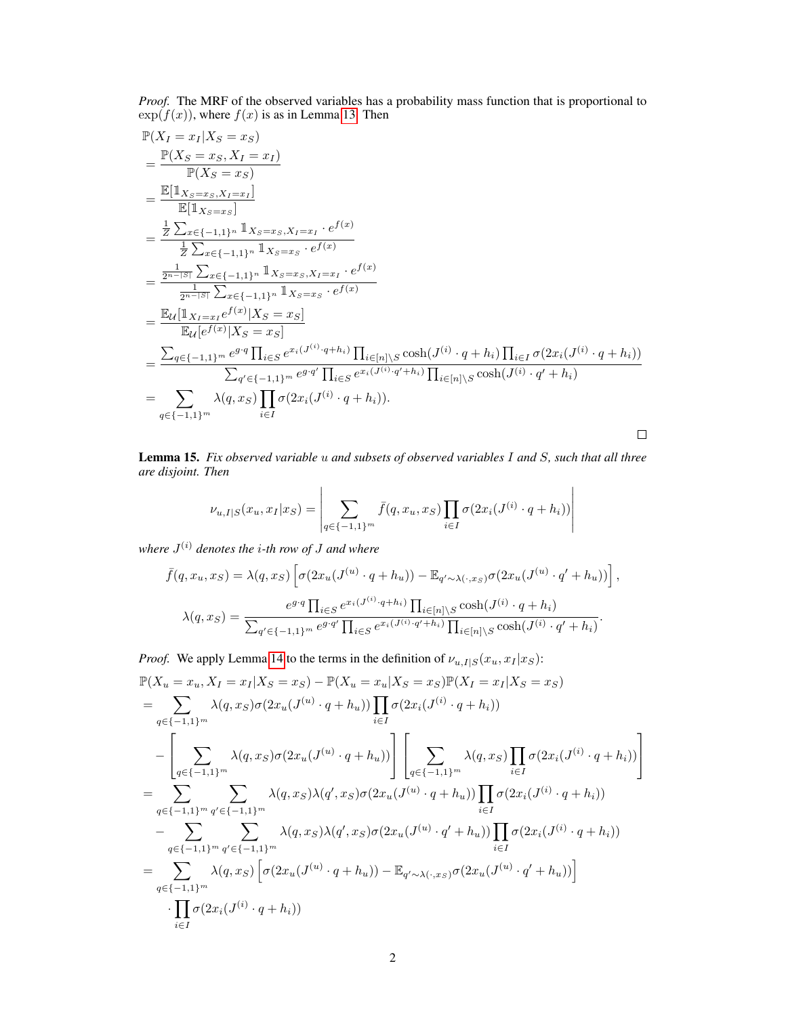*Proof.* The MRF of the observed variables has a probability mass function that is proportional to  $exp(f(x))$ , where  $f(x)$  is as in Lemma [13.](#page-0-0) Then

$$
\mathbb{P}(X_{I} = x_{I}|X_{S} = x_{S})
$$
\n
$$
= \frac{\mathbb{P}(X_{S} = x_{S}, X_{I} = x_{I})}{\mathbb{P}(X_{S} = x_{S})}
$$
\n
$$
= \frac{\mathbb{E}[\mathbb{1}_{X_{S} = x_{S}, X_{I} = x_{I}}]}{\mathbb{E}[\mathbb{1}_{X_{S} = x_{S}}]} = \frac{\frac{1}{Z} \sum_{x \in \{-1, 1\}^{n}} \mathbb{1}_{X_{S} = x_{S}, X_{I} = x_{I} \cdot e^{f(x)}}}{\frac{1}{Z} \sum_{x \in \{-1, 1\}^{n}} \mathbb{1}_{X_{S} = x_{S} \cdot e^{f(x)}} = \frac{\frac{1}{2^{n-|S|}} \sum_{x \in \{-1, 1\}^{n}} \mathbb{1}_{X_{S} = x_{S}, X_{I} = x_{I} \cdot e^{f(x)}} = \frac{\mathbb{E}_{\mathcal{U}}[\mathbb{1}_{X_{I} = x_{I}e^{f(x)}|X_{S} = x_{S}]}}{\mathbb{E}_{\mathcal{U}}[e^{f(x)}|X_{S} = x_{S}]} = \frac{\mathbb{E}_{\mathcal{U}}[\mathbb{1}_{X_{I} = x_{I}e^{f(x)}|X_{S} = x_{S}]}}{\mathbb{E}_{\mathcal{U}}[e^{f(x)}|X_{S} = x_{S}]} = \frac{\sum_{q \in \{-1, 1\}^{m}} e^{g \cdot q} \prod_{i \in S} e^{x_{i}(J^{(i)} \cdot q + h_{i})} \prod_{i \in [n] \setminus S} \cosh(J^{(i)} \cdot q + h_{i}) \prod_{i \in I} \sigma(2x_{i}(J^{(i)} \cdot q + h_{i}))}{\sum_{q' \in \{-1, 1\}^{m}} \sum_{i \in I} \sigma(2x_{i}(J^{(i)} \cdot q + h_{i})).}
$$

<span id="page-1-0"></span>Lemma 15. *Fix observed variable* u *and subsets of observed variables* I *and* S*, such that all three are disjoint. Then*

$$
\nu_{u,I|S}(x_u, x_I | x_S) = \left| \sum_{q \in \{-1,1\}^m} \bar{f}(q, x_u, x_S) \prod_{i \in I} \sigma(2x_i(J^{(i)} \cdot q + h_i)) \right|
$$

*where* J (i) *denotes the* i*-th row of* J *and where*

$$
\bar{f}(q, x_u, x_S) = \lambda(q, x_S) \left[ \sigma(2x_u(J^{(u)} \cdot q + h_u)) - \mathbb{E}_{q' \sim \lambda(\cdot, x_S)} \sigma(2x_u(J^{(u)} \cdot q' + h_u)) \right],
$$

$$
\lambda(q, x_S) = \frac{e^{g \cdot q} \prod_{i \in S} e^{x_i(J^{(i)} \cdot q + h_i)} \prod_{i \in [n] \setminus S} \cosh(J^{(i)} \cdot q + h_i)}{\sum_{q' \in \{-1, 1\}^m} e^{g \cdot q'} \prod_{i \in S} e^{x_i(J^{(i)} \cdot q' + h_i)} \prod_{i \in [n] \setminus S} \cosh(J^{(i)} \cdot q' + h_i)}.
$$

Proof. We apply Lemma 14 to the terms in the definition of 
$$
\nu_{u,I|S}(x_u, x_I|x_S)
$$
:  
\n
$$
\mathbb{P}(X_u = x_u, X_I = x_I | X_S = x_S) - \mathbb{P}(X_u = x_u | X_S = x_S) \mathbb{P}(X_I = x_I | X_S = x_S)
$$
\n
$$
= \sum_{q \in \{-1,1\}^m} \lambda(q, x_S) \sigma(2x_u(J^{(u)} \cdot q + h_u)) \prod_{i \in I} \sigma(2x_i(J^{(i)} \cdot q + h_i))
$$
\n
$$
- \left[ \sum_{q \in \{-1,1\}^m} \lambda(q, x_S) \sigma(2x_u(J^{(u)} \cdot q + h_u)) \right] \left[ \sum_{q \in \{-1,1\}^m} \lambda(q, x_S) \prod_{i \in I} \sigma(2x_i(J^{(i)} \cdot q + h_i)) \right]
$$
\n
$$
= \sum_{q \in \{-1,1\}^m} \sum_{q' \in \{-1,1\}^m} \lambda(q, x_S) \lambda(q', x_S) \sigma(2x_u(J^{(u)} \cdot q + h_u)) \prod_{i \in I} \sigma(2x_i(J^{(i)} \cdot q + h_i))
$$
\n
$$
- \sum_{q \in \{-1,1\}^m} \sum_{q' \in \{-1,1\}^m} \lambda(q, x_S) \lambda(q', x_S) \sigma(2x_u(J^{(u)} \cdot q' + h_u)) \prod_{i \in I} \sigma(2x_i(J^{(i)} \cdot q + h_i))
$$
\n
$$
= \sum_{q \in \{-1,1\}^m} \lambda(q, x_S) \left[ \sigma(2x_u(J^{(u)} \cdot q + h_u)) - \mathbb{E}_{q' \sim \lambda(\cdot, x_S)} \sigma(2x_u(J^{(u)} \cdot q' + h_u)) \right]
$$
\n
$$
\cdot \prod_{i \in I} \sigma(2x_i(J^{(i)} \cdot q + h_i))
$$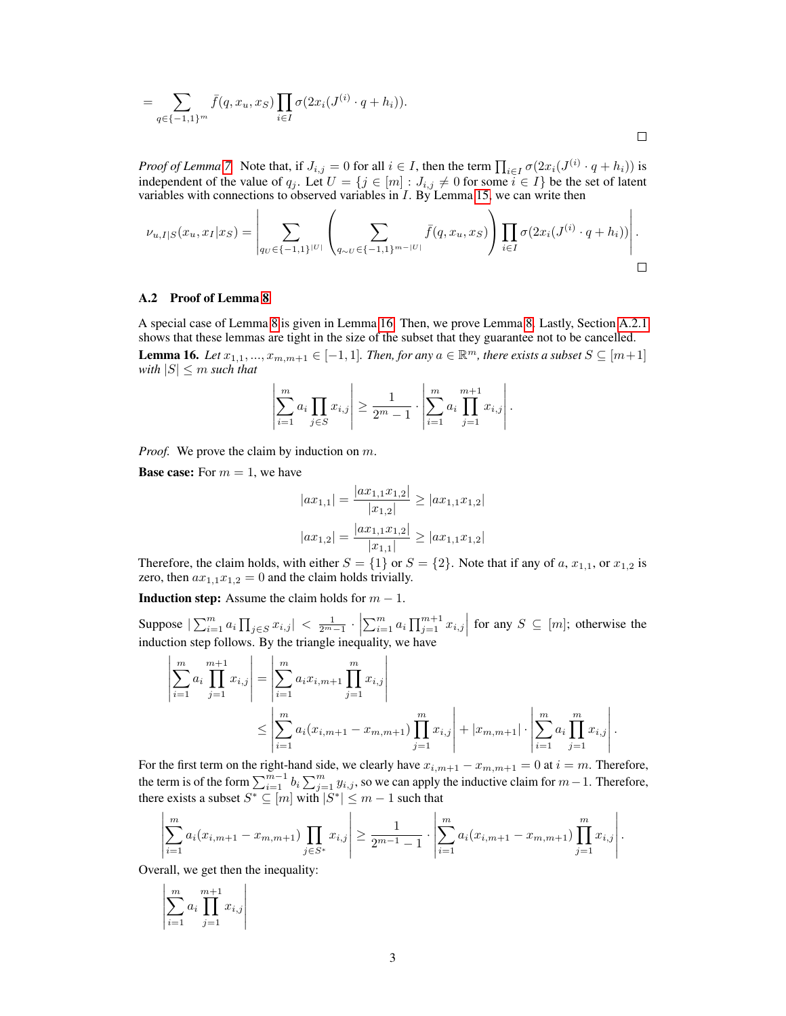$$
= \sum_{q \in \{-1,1\}^m} \bar{f}(q, x_u, x_S) \prod_{i \in I} \sigma(2x_i(J^{(i)} \cdot q + h_i)).
$$

*Proof of Lemma* 7. Note that, if  $J_{i,j} = 0$  for all  $i \in I$ , then the term  $\prod_{i \in I} \sigma(2x_i(J^{(i)} \cdot q + h_i))$  is independent of the value of  $q_j$ . Let  $U = \{j \in [m] : J_{i,j} \neq 0 \text{ for some } i \in I\}$  be the set of latent variables with connections to observed variables in I. By Lemma [15,](#page-1-0) we can write then

$$
\nu_{u,I|S}(x_u, x_I | x_S) = \left| \sum_{q_U \in \{-1,1\}^{|U|}} \left( \sum_{q_{\sim U} \in \{-1,1\}^{m-|U|}} \bar{f}(q, x_u, x_S) \right) \prod_{i \in I} \sigma(2x_i (J^{(i)} \cdot q + h_i)) \right|.
$$

### A.2 Proof of Lemma 8

A special case of Lemma 8 is given in Lemma [16.](#page-2-0) Then, we prove Lemma 8. Lastly, Section [A.2.1](#page-4-0) shows that these lemmas are tight in the size of the subset that they guarantee not to be cancelled.

<span id="page-2-0"></span>**Lemma 16.** Let  $x_{1,1},...,x_{m,m+1} \in [-1,1]$ . Then, for any  $a \in \mathbb{R}^m$ , there exists a subset  $S \subseteq [m+1]$ *with*  $|S| \leq m$  *such that* 

$$
\left| \sum_{i=1}^{m} a_i \prod_{j \in S} x_{i,j} \right| \ge \frac{1}{2^m - 1} \cdot \left| \sum_{i=1}^{m} a_i \prod_{j=1}^{m+1} x_{i,j} \right|.
$$

*Proof.* We prove the claim by induction on m.

**Base case:** For  $m = 1$ , we have

$$
|ax_{1,1}| = \frac{|ax_{1,1}x_{1,2}|}{|x_{1,2}|} \ge |ax_{1,1}x_{1,2}|
$$

$$
|ax_{1,2}| = \frac{|ax_{1,1}x_{1,2}|}{|x_{1,1}|} \ge |ax_{1,1}x_{1,2}|
$$

Therefore, the claim holds, with either  $S = \{1\}$  or  $S = \{2\}$ . Note that if any of a,  $x_{1,1}$ , or  $x_{1,2}$  is zero, then  $ax_{1,1}x_{1,2}=0$  and the claim holds trivially.

**Induction step:** Assume the claim holds for  $m - 1$ .

Suppose  $|\sum_{i=1}^m a_i \prod_{j \in S} x_{i,j}| < \frac{1}{2^{m}-1} \cdot \left|\sum_{i=1}^m a_i \prod_{j=1}^{m+1} x_{i,j}\right|$  for any  $S \subseteq [m]$ ; otherwise the induction step follows. By the triangle inequality, we have

$$
\left| \sum_{i=1}^{m} a_i \prod_{j=1}^{m+1} x_{i,j} \right| = \left| \sum_{i=1}^{m} a_i x_{i,m+1} \prod_{j=1}^{m} x_{i,j} \right|
$$
  

$$
\leq \left| \sum_{i=1}^{m} a_i (x_{i,m+1} - x_{m,m+1}) \prod_{j=1}^{m} x_{i,j} \right| + |x_{m,m+1}| \cdot \left| \sum_{i=1}^{m} a_i \prod_{j=1}^{m} x_{i,j} \right|.
$$

For the first term on the right-hand side, we clearly have  $x_{i,m+1} - x_{m,m+1} = 0$  at  $i = m$ . Therefore, the term is of the form  $\sum_{i=1}^{m-1} b_i \sum_{j=1}^m y_{i,j}$ , so we can apply the inductive claim for  $m-1$ . Therefore, there exists a subset  $S^* \subseteq [m]$  with  $|S^*| \le m - 1$  such that

$$
\left|\sum_{i=1}^m a_i(x_{i,m+1}-x_{m,m+1})\prod_{j\in S^*}x_{i,j}\right|\geq \frac{1}{2^{m-1}-1}\cdot\left|\sum_{i=1}^m a_i(x_{i,m+1}-x_{m,m+1})\prod_{j=1}^m x_{i,j}\right|.
$$

Overall, we get then the inequality:

$$
\left| \sum_{i=1}^{m} a_i \prod_{j=1}^{m+1} x_{i,j} \right|
$$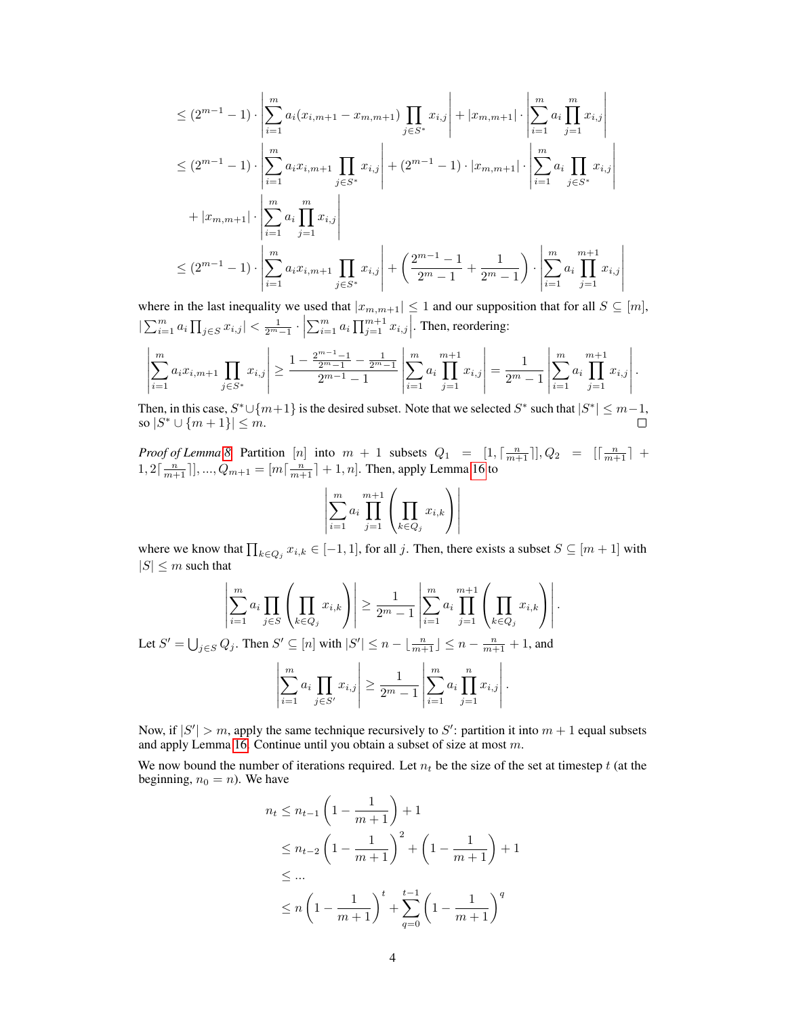$$
\leq (2^{m-1} - 1) \cdot \left| \sum_{i=1}^{m} a_i (x_{i,m+1} - x_{m,m+1}) \prod_{j \in S^*} x_{i,j} \right| + |x_{m,m+1}| \cdot \left| \sum_{i=1}^{m} a_i \prod_{j=1}^{m} x_{i,j} \right|
$$
  
\n
$$
\leq (2^{m-1} - 1) \cdot \left| \sum_{i=1}^{m} a_i x_{i,m+1} \prod_{j \in S^*} x_{i,j} \right| + (2^{m-1} - 1) \cdot |x_{m,m+1}| \cdot \left| \sum_{i=1}^{m} a_i \prod_{j \in S^*} x_{i,j} \right|
$$
  
\n
$$
+ |x_{m,m+1}| \cdot \left| \sum_{i=1}^{m} a_i \prod_{j=1}^{m} x_{i,j} \right|
$$
  
\n
$$
\leq (2^{m-1} - 1) \cdot \left| \sum_{i=1}^{m} a_i x_{i,m+1} \prod_{j \in S^*} x_{i,j} \right| + \left( \frac{2^{m-1} - 1}{2^m - 1} + \frac{1}{2^m - 1} \right) \cdot \left| \sum_{i=1}^{m} a_i \prod_{j=1}^{m+1} x_{i,j} \right|
$$

where in the last inequality we used that  $|x_{m,m+1}| \leq 1$  and our supposition that for all  $S \subseteq [m]$ ,  $|\sum_{i=1}^{m} a_i \prod_{j \in S} x_{i,j}| < \frac{1}{2^m-1} \cdot \left| \sum_{i=1}^{m} a_i \prod_{j=1}^{m+1} x_{i,j} \right|$ . Then, reordering:

$$
\left|\sum_{i=1}^{m} a_i x_{i,m+1} \prod_{j \in S^*} x_{i,j}\right| \ge \frac{1 - \frac{2^{m-1}-1}{2^m-1} - \frac{1}{2^m-1}}{2^{m-1}-1}\left|\sum_{i=1}^{m} a_i \prod_{j=1}^{m+1} x_{i,j}\right| = \frac{1}{2^m-1} \left|\sum_{i=1}^{m} a_i \prod_{j=1}^{m+1} x_{i,j}\right|.
$$

Then, in this case,  $S^* \cup \{m+1\}$  is the desired subset. Note that we selected  $S^*$  such that  $|S^*| \leq m-1$ , so  $|S^* \cup \{m+1\}| \leq m$ .

*Proof of Lemma* 8. Partition [n] into  $m + 1$  subsets  $Q_1 = [1, \lceil \frac{n}{m+1} \rceil], Q_2 = [\lceil \frac{n}{m+1} \rceil + \rceil]$  $1, 2\lceil \frac{n}{m+1} \rceil, ..., Q_{m+1} = [m\lceil \frac{n}{m+1} \rceil + 1, n]$ . Then, apply Lemma [16](#page-2-0) to

$$
\left| \sum_{i=1}^{m} a_i \prod_{j=1}^{m+1} \left( \prod_{k \in Q_j} x_{i,k} \right) \right|
$$

where we know that  $\prod_{k \in Q_j} x_{i,k} \in [-1,1]$ , for all j. Then, there exists a subset  $S \subseteq [m+1]$  with  $|S| \leq m$  such that

$$
\left| \sum_{i=1}^{m} a_{i} \prod_{j \in S} \left( \prod_{k \in Q_{j}} x_{i,k} \right) \right| \geq \frac{1}{2^{m}-1} \left| \sum_{i=1}^{m} a_{i} \prod_{j=1}^{m+1} \left( \prod_{k \in Q_{j}} x_{i,k} \right) \right|.
$$
  
Let  $S' = \bigcup_{j \in S} Q_{j}$ . Then  $S' \subseteq [n]$  with  $|S'| \leq n - \lfloor \frac{n}{m+1} \rfloor \leq n - \frac{n}{m+1} + 1$ , and  

$$
\left| \sum_{i=1}^{m} a_{i} \prod_{j \in S'} x_{i,j} \right| \geq \frac{1}{2^{m}-1} \left| \sum_{i=1}^{m} a_{i} \prod_{j=1}^{n} x_{i,j} \right|.
$$

Now, if  $|S'| > m$ , apply the same technique recursively to S': partition it into  $m + 1$  equal subsets and apply Lemma [16.](#page-2-0) Continue until you obtain a subset of size at most m.

We now bound the number of iterations required. Let  $n_t$  be the size of the set at timestep t (at the beginning,  $n_0 = n$ ). We have

$$
n_{t} \leq n_{t-1} \left( 1 - \frac{1}{m+1} \right) + 1
$$
  
\n
$$
\leq n_{t-2} \left( 1 - \frac{1}{m+1} \right)^{2} + \left( 1 - \frac{1}{m+1} \right) + 1
$$
  
\n
$$
\leq \dots
$$
  
\n
$$
\leq n \left( 1 - \frac{1}{m+1} \right)^{t} + \sum_{q=0}^{t-1} \left( 1 - \frac{1}{m+1} \right)^{q}
$$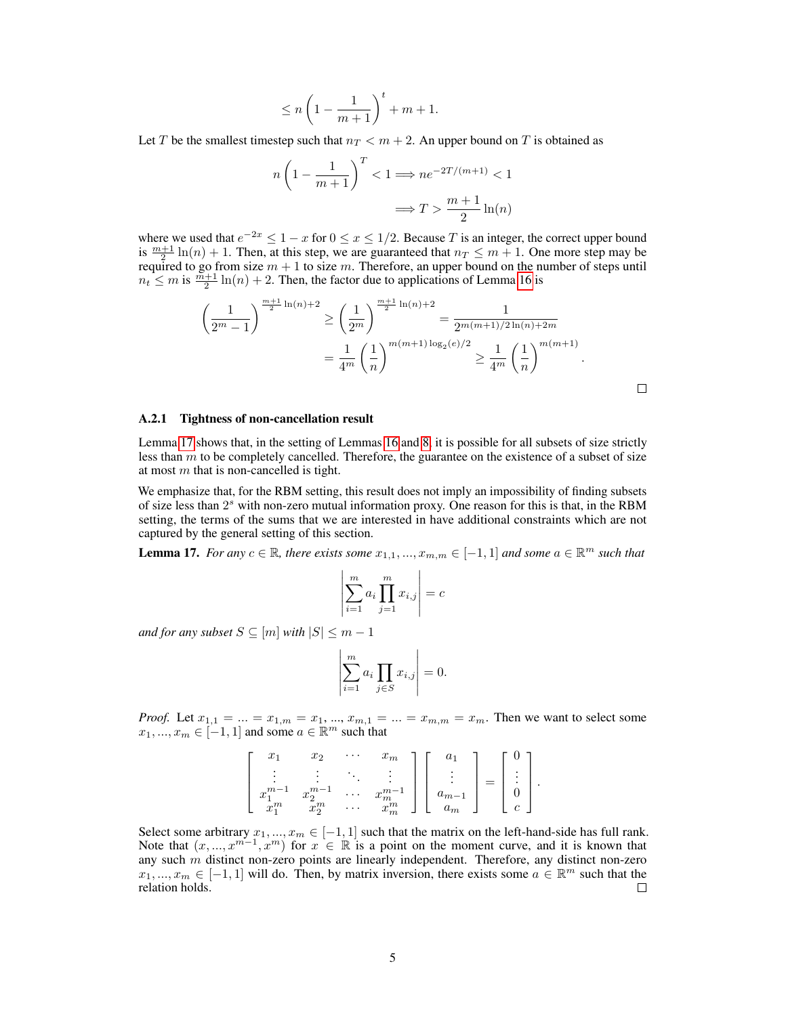$$
\leq n \left(1-\frac{1}{m+1}\right)^{t}+m+1.
$$

Let T be the smallest timestep such that  $n_T < m + 2$ . An upper bound on T is obtained as

$$
n\left(1 - \frac{1}{m+1}\right)^T < 1 \Longrightarrow n e^{-2T/(m+1)} < 1
$$
\n
$$
\Longrightarrow T > \frac{m+1}{2}\ln(n)
$$

where we used that  $e^{-2x} \leq 1-x$  for  $0 \leq x \leq 1/2$ . Because T is an integer, the correct upper bound is  $\frac{m+1}{2}\ln(n) + 1$ . Then, at this step, we are guaranteed that  $n_T \leq m + 1$ . One more step may be required to go from size  $m + 1$  to size m. Therefore, an upper bound on the number of steps until  $n_t \leq m$  is  $\frac{m+1}{2} \ln(n) + 2$ . Then, the factor due to applications of Lemma [16](#page-2-0) is

$$
\left(\frac{1}{2^m-1}\right)^{\frac{m+1}{2}\ln(n)+2} \ge \left(\frac{1}{2^m}\right)^{\frac{m+1}{2}\ln(n)+2} = \frac{1}{2^{m(m+1)/2\ln(n)+2m}}
$$

$$
= \frac{1}{4^m} \left(\frac{1}{n}\right)^{m(m+1)\log_2(e)/2} \ge \frac{1}{4^m} \left(\frac{1}{n}\right)^{m(m+1)}.
$$

 $\Box$ 

#### <span id="page-4-0"></span>A.2.1 Tightness of non-cancellation result

Lemma [17](#page-4-1) shows that, in the setting of Lemmas [16](#page-2-0) and 8, it is possible for all subsets of size strictly less than  $m$  to be completely cancelled. Therefore, the guarantee on the existence of a subset of size at most  $m$  that is non-cancelled is tight.

We emphasize that, for the RBM setting, this result does not imply an impossibility of finding subsets of size less than  $2<sup>s</sup>$  with non-zero mutual information proxy. One reason for this is that, in the RBM setting, the terms of the sums that we are interested in have additional constraints which are not captured by the general setting of this section.

<span id="page-4-1"></span>**Lemma 17.** For any  $c \in \mathbb{R}$ , there exists some  $x_{1,1},...,x_{m,m} \in [-1,1]$  and some  $a \in \mathbb{R}^m$  such that

$$
\left| \sum_{i=1}^{m} a_i \prod_{j=1}^{m} x_{i,j} \right| = c
$$

*and for any subset*  $S \subseteq [m]$  *with*  $|S| \leq m - 1$ 

$$
\left| \sum_{i=1}^{m} a_i \prod_{j \in S} x_{i,j} \right| = 0.
$$

*Proof.* Let  $x_{1,1} = ... = x_{1,m} = x_1, ..., x_{m,1} = ... = x_{m,m} = x_m$ . Then we want to select some  $x_1, ..., x_m \in [-1, 1]$  and some  $a \in \mathbb{R}^m$  such that

| w                          | x <sub>2</sub> | $\cdots$ | $\cdot$ m<br>w |       |  |  |
|----------------------------|----------------|----------|----------------|-------|--|--|
|                            |                |          |                |       |  |  |
| $\boldsymbol{x}$           | $x_{\alpha}$   | $\cdots$ | ТI             | $m-$  |  |  |
| $\boldsymbol{\gamma}$<br>v | $x_2^m$        | .        | $\dot{m}$      | $\,m$ |  |  |

Select some arbitrary  $x_1, ..., x_m \in [-1, 1]$  such that the matrix on the left-hand-side has full rank. Note that  $(x, ..., x^{m-1}, x^m)$  for  $x \in \mathbb{R}$  is a point on the moment curve, and it is known that any such  $m$  distinct non-zero points are linearly independent. Therefore, any distinct non-zero  $x_1, ..., x_m \in [-1, 1]$  will do. Then, by matrix inversion, there exists some  $a \in \mathbb{R}^m$  such that the relation holds.  $\Box$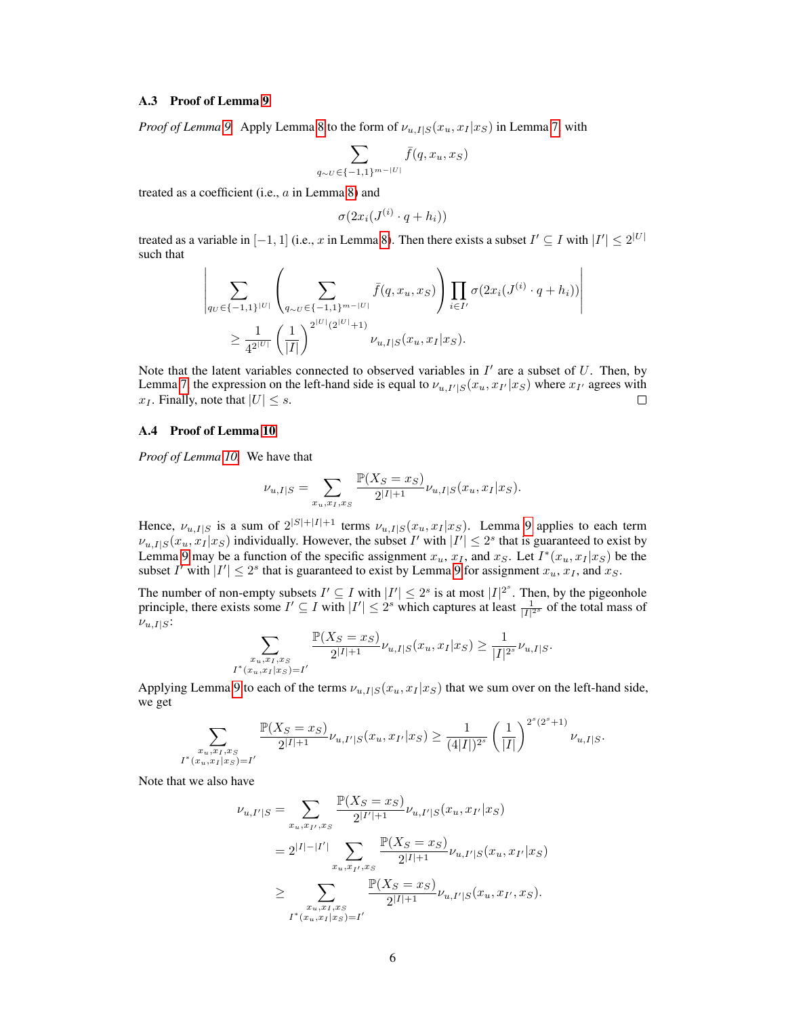#### A.3 Proof of Lemma 9

*Proof of Lemma* 9. Apply Lemma 8 to the form of  $\nu_{u,I|S}(x_u, x_I | x_S)$  in Lemma 7, with

 $q_{\sim}$ 

$$
\sum_{\sigma\in\{-1,1\}^{m-|U|}}\bar{f}(q,x_u,x_S)
$$

treated as a coefficient (i.e., a in Lemma 8) and

$$
\sigma(2x_i(J^{(i)} \cdot q + h_i))
$$

treated as a variable in  $[-1, 1]$  (i.e., x in Lemma 8). Then there exists a subset  $I' \subseteq I$  with  $|I'| \leq 2^{|U|}$ such that

$$
\left| \sum_{qv \in \{-1,1\}^{|U|}} \left( \sum_{q_{\sim U} \in \{-1,1\}^{m-|U|}} \bar{f}(q, x_u, x_S) \right) \prod_{i \in I'} \sigma(2x_i(J^{(i)} \cdot q + h_i)) \right|
$$
  
 
$$
\geq \frac{1}{4^{2^{|U|}}} \left( \frac{1}{|I|} \right)^{2^{|U|} (2^{|U|} + 1)} \nu_{u, I|S}(x_u, x_I | x_S).
$$

Note that the latent variables connected to observed variables in  $I'$  are a subset of  $U$ . Then, by Lemma 7, the expression on the left-hand side is equal to  $\nu_{u,I'|S}(x_u, x_{I'}|x_S)$  where  $x_{I'}$  agrees with  $x_I$ . Finally, note that  $|U| \leq s$ .  $\Box$ 

## A.4 Proof of Lemma 10

*Proof of Lemma 10.* We have that

$$
\nu_{u,I|S} = \sum_{x_u, x_I, x_S} \frac{\mathbb{P}(X_S = x_S)}{2^{|I|+1}} \nu_{u,I|S}(x_u, x_I | x_S).
$$

Hence,  $\nu_{u,I|S}$  is a sum of  $2^{|S|+|I|+1}$  terms  $\nu_{u,I|S}(x_u, x_I|x_S)$ . Lemma 9 applies to each term  $\nu_{u,I|S}(x_u, x_I | x_S)$  individually. However, the subset I' with  $|I'| \leq 2^s$  that is guaranteed to exist by Lemma 9 may be a function of the specific assignment  $x_u$ ,  $x_I$ , and  $x_S$ . Let  $I^*(x_u, x_I | x_S)$  be the subset I' with  $|I'| \leq 2^s$  that is guaranteed to exist by Lemma 9 for assignment  $x_u$ ,  $x_I$ , and  $x_S$ .

The number of non-empty subsets  $I' \subseteq I$  with  $|I'| \leq 2^s$  is at most  $|I|^{2^s}$ . Then, by the pigeonhole principle, there exists some  $I' \subseteq I$  with  $|I'| \leq 2^s$  which captures at least  $\frac{1}{|I|^{2^s}}$  of the total mass of  $\nu_{u,I|S}$ :

$$
\sum_{\substack{x_u, x_I, x_S \\ I^*(x_u, x_I | x_S) = I'}} \frac{\mathbb{P}(X_S = x_S)}{2^{|I|+1}} \nu_{u, I|S}(x_u, x_I | x_S) \ge \frac{1}{|I|^{2^s}} \nu_{u, I|S}.
$$

Applying Lemma 9 to each of the terms  $\nu_{u,I|S}(x_u, x_I | x_S)$  that we sum over on the left-hand side, we get

$$
\sum_{\substack{x_u, x_I, x_S \\ I^*(x_u, x_I | x_S) = I'}} \frac{\mathbb{P}(X_S = x_S)}{2^{|I|+1}} \nu_{u, I'|S}(x_u, x_{I'} | x_S) \ge \frac{1}{(4|I|)^{2^s}} \left(\frac{1}{|I|}\right)^{2^s(2^s+1)} \nu_{u, I|S}.
$$

Note that we also have

$$
\nu_{u,I'|S} = \sum_{x_u, x_{I'}, x_S} \frac{\mathbb{P}(X_S = x_S)}{2^{|I'|+1}} \nu_{u,I'|S}(x_u, x_{I'}|x_S)
$$
  
=  $2^{|I|-|I'|} \sum_{x_u, x_{I'}, x_S} \frac{\mathbb{P}(X_S = x_S)}{2^{|I|+1}} \nu_{u,I'|S}(x_u, x_{I'}|x_S)$   

$$
\geq \sum_{\substack{x_u, x_{I}, x_S \\ I^*(x_u, x_I|x_S) = I'}} \frac{\mathbb{P}(X_S = x_S)}{2^{|I|+1}} \nu_{u,I'|S}(x_u, x_{I'}, x_S).
$$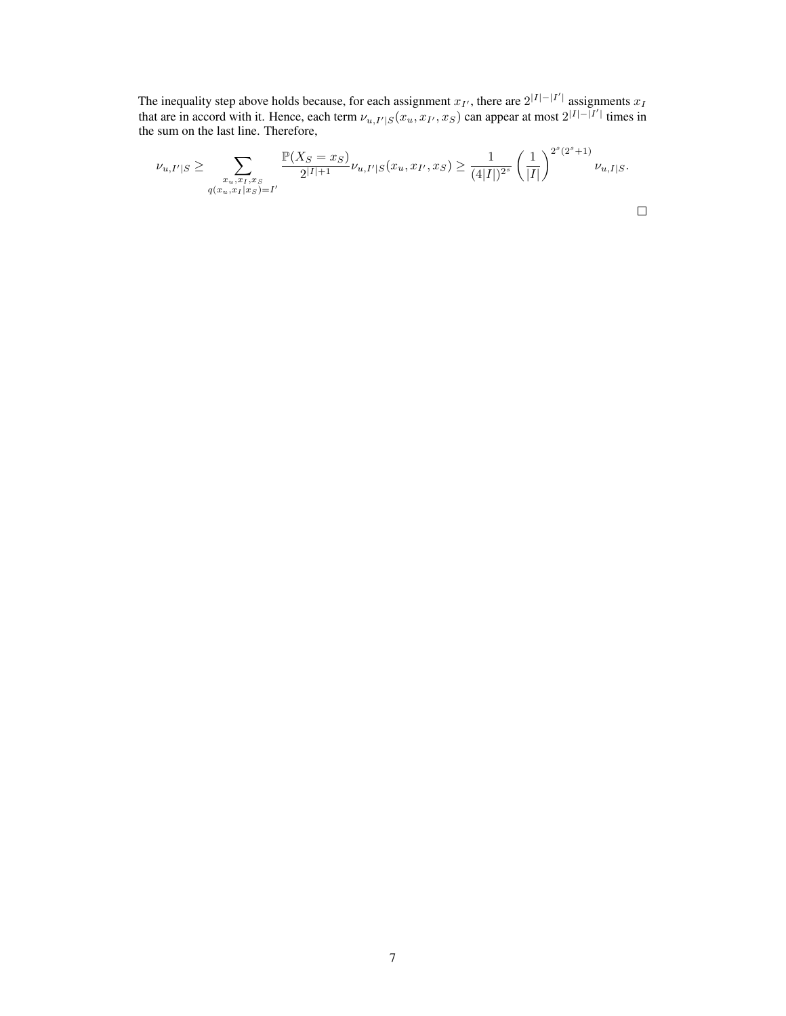The inequality step above holds because, for each assignment  $x_{I'}$ , there are  $2^{|I|-|I'|}$  assignments  $x_I$ that are in accord with it. Hence, each term  $\nu_{u,I'|S}(x_u, x_{I'}, x_S)$  can appear at most  $2^{|I| - |I'|}$  times in the sum on the last line. Therefore,

$$
\nu_{u,I'|S} \ge \sum_{\substack{x_u, x_I, x_S \\ q(x_u, x_I | x_S) = I'}} \frac{\mathbb{P}(X_S = x_S)}{2^{|I|+1}} \nu_{u,I'|S}(x_u, x_{I'}, x_S) \ge \frac{1}{(4|I|)^{2^s}} \left(\frac{1}{|I|}\right)^{2^s(2^s+1)} \nu_{u,I|S}.
$$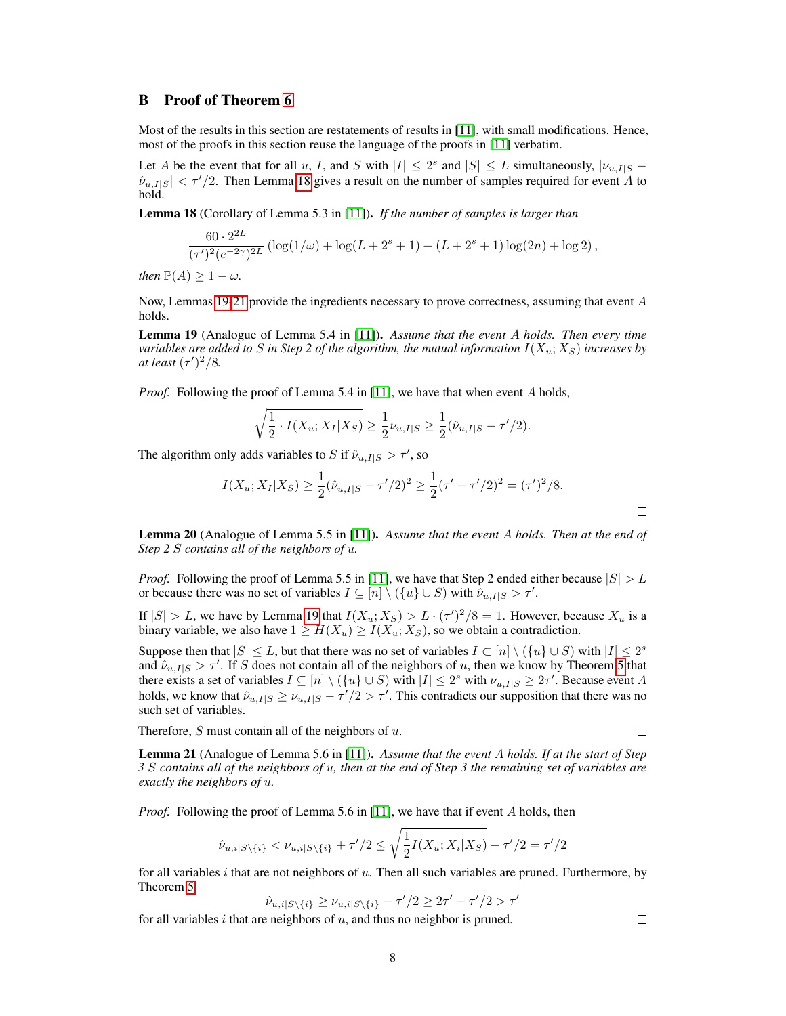# B Proof of Theorem 6

Most of the results in this section are restatements of results in [11], with small modifications. Hence, most of the proofs in this section reuse the language of the proofs in [11] verbatim.

Let A be the event that for all u, I, and S with  $|I| \leq 2^s$  and  $|S| \leq L$  simultaneously,  $|\nu_{u,I|S}$  –  $\hat{\nu}_{u,I|S}| < \tau'/2$ . Then Lemma [18](#page-7-0) gives a result on the number of samples required for event A to hold.

<span id="page-7-0"></span>Lemma 18 (Corollary of Lemma 5.3 in [11]). *If the number of samples is larger than*

$$
\frac{60 \cdot 2^{2L}}{(\tau')^2 (e^{-2\gamma})^{2L}} \left( \log(1/\omega) + \log(L + 2^s + 1) + (L + 2^s + 1) \log(2n) + \log 2 \right),\,
$$

*then*  $\mathbb{P}(A) \geq 1 - \omega$ *.* 

Now, Lemmas [19](#page-7-1)[-21](#page-7-2) provide the ingredients necessary to prove correctness, assuming that event A holds.

<span id="page-7-1"></span>Lemma 19 (Analogue of Lemma 5.4 in [11]). *Assume that the event* A *holds. Then every time variables are added to* S *in Step 2 of the algorithm, the mutual information*  $I(X_u; X_S)$  *increases by at least*  $(\tau')^2/8$ *.* 

*Proof.* Following the proof of Lemma 5.4 in [11], we have that when event A holds,

$$
\sqrt{\frac{1}{2} \cdot I(X_u; X_I | X_S)} \ge \frac{1}{2} \nu_{u,I|S} \ge \frac{1}{2} (\hat{\nu}_{u,I|S} - \tau'/2).
$$

The algorithm only adds variables to S if  $\hat{\nu}_{u,I|S} > \tau'$ , so

$$
I(X_u; X_I | X_S) \ge \frac{1}{2} (\hat{\nu}_{u, I | S} - \tau'/2)^2 \ge \frac{1}{2} (\tau' - \tau'/2)^2 = (\tau')^2 / 8.
$$

<span id="page-7-3"></span>Lemma 20 (Analogue of Lemma 5.5 in [11]). *Assume that the event* A *holds. Then at the end of Step 2* S *contains all of the neighbors of* u*.*

*Proof.* Following the proof of Lemma 5.5 in [11], we have that Step 2 ended either because  $|S| > L$ or because there was no set of variables  $I \subseteq [n] \setminus (\{u\} \cup S)$  with  $\hat{\nu}_{u,I|S} > \tau'.$ 

If  $|S| > L$ , we have by Lemma [19](#page-7-1) that  $I(X_u; X_S) > L \cdot (\tau')^2/8 = 1$ . However, because  $X_u$  is a binary variable, we also have  $1 \geq H(X_u) \geq I(X_u; X_S)$ , so we obtain a contradiction.

Suppose then that  $|S| \leq L$ , but that there was no set of variables  $I \subset [n] \setminus (\{u\} \cup S)$  with  $|I| \leq 2^s$ and  $\hat{\nu}_{u,I|S} > \tau'$ . If S does not contain all of the neighbors of u, then we know by Theorem 5 that there exists a set of variables  $I \subseteq [n] \setminus (\{u\} \cup S)$  with  $|I| \leq 2^s$  with  $\nu_{u,I|S} \geq 2\tau'$ . Because event A holds, we know that  $\hat{\nu}_{u,I|S} \ge \nu_{u,I|S} - \tau'/2 > \tau'$ . This contradicts our supposition that there was no such set of variables.

Therefore,  $S$  must contain all of the neighbors of  $u$ .

 $\Box$ 

 $\Box$ 

 $\Box$ 

<span id="page-7-2"></span>Lemma 21 (Analogue of Lemma 5.6 in [11]). *Assume that the event* A *holds. If at the start of Step 3* S *contains all of the neighbors of* u*, then at the end of Step 3 the remaining set of variables are exactly the neighbors of* u*.*

*Proof.* Following the proof of Lemma 5.6 in [11], we have that if event A holds, then

$$
\hat{\nu}_{u,i|S\setminus\{i\}} < \nu_{u,i|S\setminus\{i\}} + \tau'/2 \le \sqrt{\frac{1}{2}I(X_u; X_i|X_S)} + \tau'/2 = \tau'/2
$$

for all variables  $i$  that are not neighbors of  $u$ . Then all such variables are pruned. Furthermore, by Theorem 5,

$$
\hat{\nu}_{u,i|S\backslash\{i\}}\geq\nu_{u,i|S\backslash\{i\}}-\tau'/2\geq 2\tau'-\tau'/2>\tau'
$$

for all variables  $i$  that are neighbors of  $u$ , and thus no neighbor is pruned.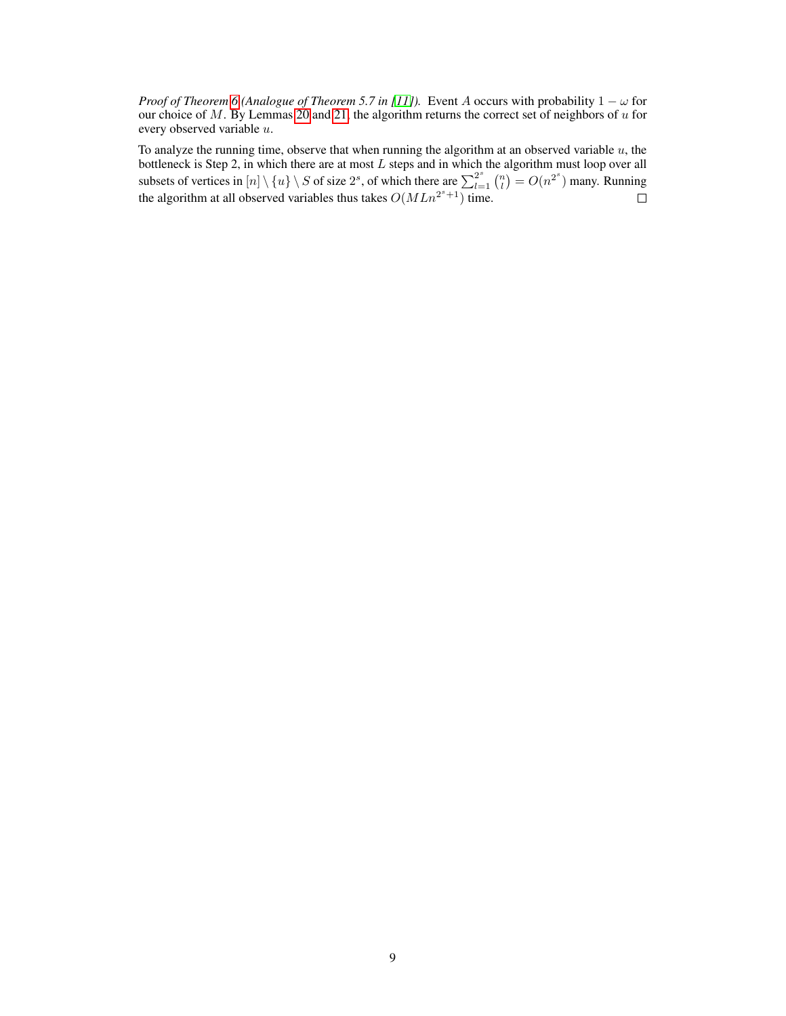*Proof of Theorem 6* (Analogue of Theorem 5.7 in [11]). Event A occurs with probability  $1 - \omega$  for our choice of  $M$ . By Lemmas [20](#page-7-3) and [21,](#page-7-2) the algorithm returns the correct set of neighbors of  $u$  for every observed variable u.

To analyze the running time, observe that when running the algorithm at an observed variable  $u$ , the bottleneck is Step 2, in which there are at most  $L$  steps and in which the algorithm must loop over all subsets of vertices in  $[n] \setminus \{u\} \setminus S$  of size  $2^s$ , of which there are  $\sum_{l=1}^{2^s} {n \choose l} = O(n^{2^s})$  many. Running the algorithm at all observed variables thus takes  $O(MLn^{2^{s}+1})$  time.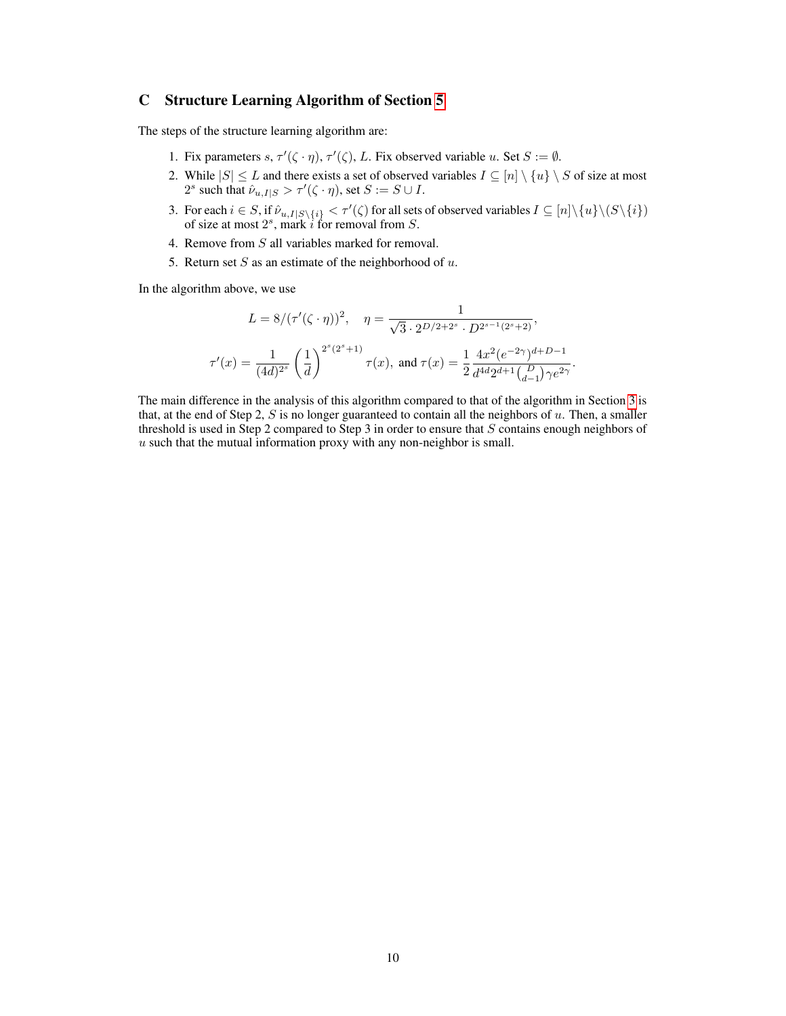# C Structure Learning Algorithm of Section 5

The steps of the structure learning algorithm are:

- 1. Fix parameters  $s, \tau'(\zeta \cdot \eta), \tau'(\zeta), L$ . Fix observed variable u. Set  $S := \emptyset$ .
- 2. While  $|S| \leq L$  and there exists a set of observed variables  $I \subseteq [n] \setminus \{u\} \setminus S$  of size at most 2<sup>s</sup> such that  $\hat{\nu}_{u,I|S} > \tau'(\zeta \cdot \eta)$ , set  $S := S \cup I$ .
- 3. For each  $i \in S$ , if  $\hat{\nu}_{u,I|S\setminus\{i\}} < \tau'(\zeta)$  for all sets of observed variables  $I \subseteq [n] \setminus \{u\} \setminus (S \setminus \{i\})$ of size at most  $2^s$ , mark *i* for removal from *S*.
- 4. Remove from S all variables marked for removal.
- 5. Return set  $S$  as an estimate of the neighborhood of  $u$ .

In the algorithm above, we use

$$
L = 8/(\tau'(\zeta \cdot \eta))^2, \quad \eta = \frac{1}{\sqrt{3} \cdot 2^{D/2 + 2^s} \cdot D^{2^{s-1}(2^s+2)}},
$$

$$
\tau'(x) = \frac{1}{(4d)^{2^s}} \left(\frac{1}{d}\right)^{2^s(2^s+1)} \tau(x), \text{ and } \tau(x) = \frac{1}{2} \frac{4x^2(e^{-2\gamma})^{d+D-1}}{d^{4d}2^{d+1} \binom{D}{d-1} \gamma e^{2\gamma}}.
$$

The main difference in the analysis of this algorithm compared to that of the algorithm in Section 3 is that, at the end of Step 2,  $S$  is no longer guaranteed to contain all the neighbors of  $u$ . Then, a smaller threshold is used in Step 2 compared to Step 3 in order to ensure that  $S$  contains enough neighbors of  $u$  such that the mutual information proxy with any non-neighbor is small.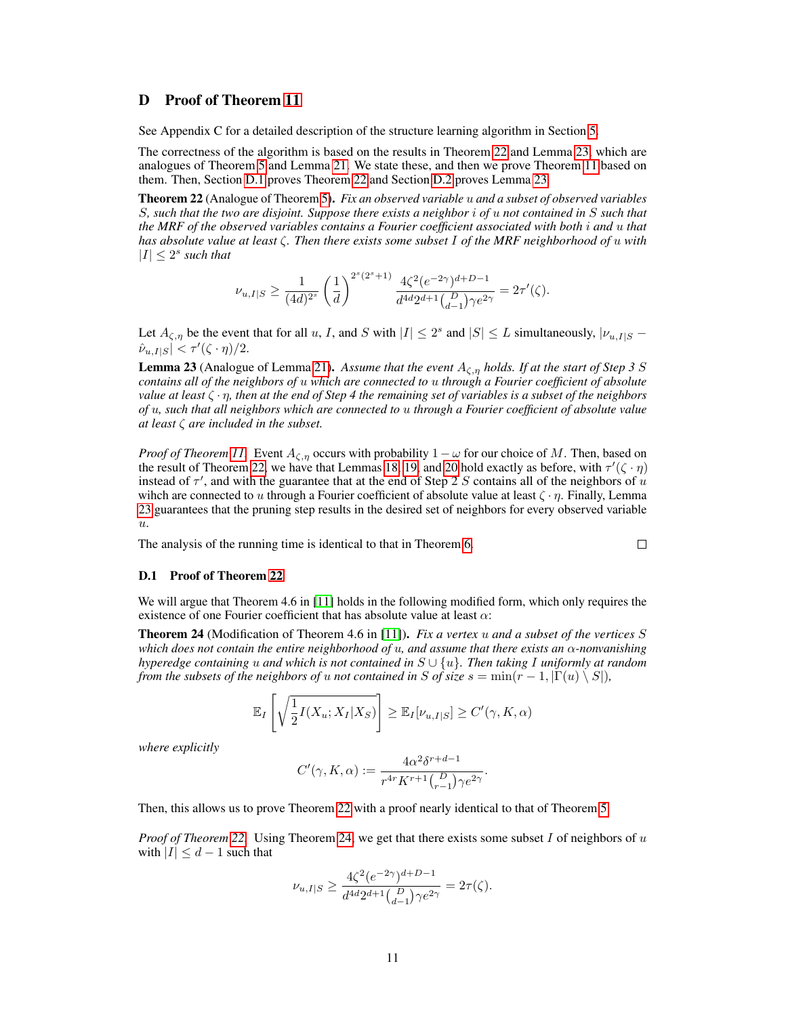# D Proof of Theorem 11

See Appendix C for a detailed description of the structure learning algorithm in Section 5.

The correctness of the algorithm is based on the results in Theorem [22](#page-10-0) and Lemma [23,](#page-10-1) which are analogues of Theorem 5 and Lemma [21.](#page-7-2) We state these, and then we prove Theorem 11 based on them. Then, Section [D.1](#page-10-2) proves Theorem [22](#page-10-0) and Section [D.2](#page-12-0) proves Lemma [23.](#page-10-1)

<span id="page-10-0"></span>Theorem 22 (Analogue of Theorem 5). *Fix an observed variable* u *and a subset of observed variables* S*, such that the two are disjoint. Suppose there exists a neighbor* i *of* u *not contained in* S *such that the MRF of the observed variables contains a Fourier coefficient associated with both* i *and* u *that has absolute value at least* ζ*. Then there exists some subset* I *of the MRF neighborhood of* u *with*  $|I| \leq 2^s$  such that

$$
\nu_{u,I|S} \geq \frac{1}{(4d)^{2^s}} \left(\frac{1}{d}\right)^{2^s(2^s+1)} \frac{4\zeta^2 (e^{-2\gamma})^{d+D-1}}{d^{4d}2^{d+1} {D \choose d-1} \gamma e^{2\gamma}} = 2\tau'(\zeta).
$$

Let  $A_{\zeta,\eta}$  be the event that for all u, I, and S with  $|I| \leq 2^s$  and  $|S| \leq L$  simultaneously,  $|\nu_{u,I|S} - \nu_{u,I|S}|$  $\hat{\nu}_{u,I|S}| < \tau'(\zeta \cdot \eta)/2.$ 

<span id="page-10-1"></span>**Lemma 23** (Analogue of Lemma [21\)](#page-7-2). Assume that the event  $A_{\zeta,n}$  holds. If at the start of Step 3 S *contains all of the neighbors of* u *which are connected to* u *through a Fourier coefficient of absolute value at least* ζ · η*, then at the end of Step 4 the remaining set of variables is a subset of the neighbors of* u*, such that all neighbors which are connected to* u *through a Fourier coefficient of absolute value at least* ζ *are included in the subset.*

*Proof of Theorem 11.* Event  $A_{\zeta,\eta}$  occurs with probability  $1 - \omega$  for our choice of M. Then, based on the result of Theorem [22,](#page-10-0) we have that Lemmas [18,](#page-7-0) [19,](#page-7-1) and [20](#page-7-3) hold exactly as before, with  $\tau'(\zeta \cdot \eta)$ instead of  $\tau'$ , and with the guarantee that at the end of Step 2 S contains all of the neighbors of u wihch are connected to u through a Fourier coefficient of absolute value at least  $\zeta \cdot \eta$ . Finally, Lemma [23](#page-10-1) guarantees that the pruning step results in the desired set of neighbors for every observed variable  $u$ .

 $\Box$ 

The analysis of the running time is identical to that in Theorem 6.

#### <span id="page-10-2"></span>D.1 Proof of Theorem [22](#page-10-0)

We will argue that Theorem 4.6 in [11] holds in the following modified form, which only requires the existence of one Fourier coefficient that has absolute value at least  $\alpha$ :

<span id="page-10-3"></span>Theorem 24 (Modification of Theorem 4.6 in [11]). *Fix a vertex* u *and a subset of the vertices* S *which does not contain the entire neighborhood of* u*, and assume that there exists an* α*-nonvanishing hyperedge containing* u *and which is not contained in* S ∪ {u}*. Then taking* I *uniformly at random from the subsets of the neighbors of u not contained in* S *of size*  $s = \min(r - 1, |\Gamma(u) \setminus S|)$ *,* 

$$
\mathbb{E}_{I}\left[\sqrt{\frac{1}{2}I(X_{u};X_{I}|X_{S})}\right] \geq \mathbb{E}_{I}[\nu_{u,I|S}] \geq C'(\gamma,K,\alpha)
$$

*where explicitly*

$$
C'(\gamma, K, \alpha) := \frac{4\alpha^2 \delta^{r+d-1}}{r^{4r} K^{r+1} {D \choose r-1} \gamma e^{2\gamma}}.
$$

Then, this allows us to prove Theorem [22](#page-10-0) with a proof nearly identical to that of Theorem 5.

*Proof of Theorem [22.](#page-10-0)* Using Theorem [24,](#page-10-3) we get that there exists some subset I of neighbors of u with  $|I| \leq d-1$  such that

$$
\nu_{u,I|S} \ge \frac{4\zeta^2 (e^{-2\gamma})^{d+D-1}}{d^{4d} 2^{d+1} {D \choose d-1} \gamma e^{2\gamma}} = 2\tau(\zeta).
$$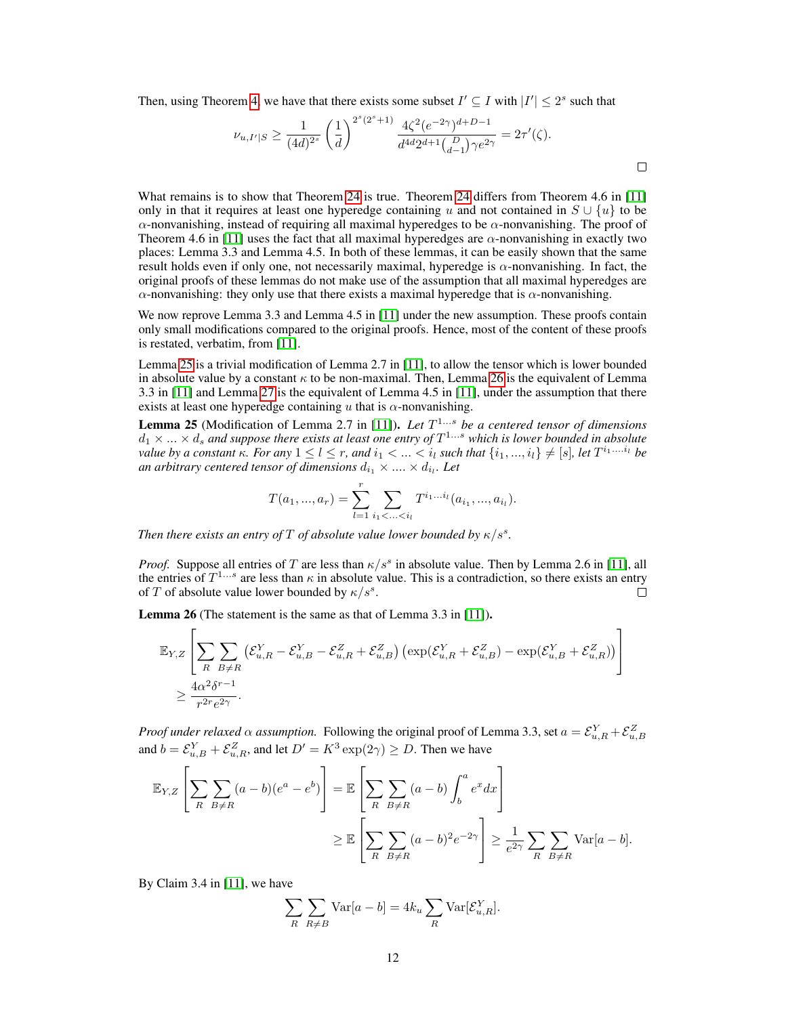Then, using Theorem 4, we have that there exists some subset  $I' \subseteq I$  with  $|I'| \leq 2^s$  such that

$$
\nu_{u,I'|S} \ge \frac{1}{(4d)^{2^s}} \left(\frac{1}{d}\right)^{2^s(2^s+1)} \frac{4\zeta^2 (e^{-2\gamma})^{d+D-1}}{d^{4d}2^{d+1} {D \choose d-1} \gamma e^{2\gamma}} = 2\tau'(\zeta).
$$

What remains is to show that Theorem [24](#page-10-3) is true. Theorem [24](#page-10-3) differs from Theorem 4.6 in [11] only in that it requires at least one hyperedge containing u and not contained in  $S \cup \{u\}$  to be α-nonvanishing, instead of requiring all maximal hyperedges to be  $\alpha$ -nonvanishing. The proof of Theorem 4.6 in [11] uses the fact that all maximal hyperedges are  $\alpha$ -nonvanishing in exactly two places: Lemma 3.3 and Lemma 4.5. In both of these lemmas, it can be easily shown that the same result holds even if only one, not necessarily maximal, hyperedge is α-nonvanishing. In fact, the original proofs of these lemmas do not make use of the assumption that all maximal hyperedges are  $\alpha$ -nonvanishing: they only use that there exists a maximal hyperedge that is  $\alpha$ -nonvanishing.

We now reprove Lemma 3.3 and Lemma 4.5 in [11] under the new assumption. These proofs contain only small modifications compared to the original proofs. Hence, most of the content of these proofs is restated, verbatim, from [11].

Lemma [25](#page-11-0) is a trivial modification of Lemma 2.7 in [11], to allow the tensor which is lower bounded in absolute value by a constant  $\kappa$  to be non-maximal. Then, Lemma [26](#page-11-1) is the equivalent of Lemma 3.3 in [11] and Lemma [27](#page-12-1) is the equivalent of Lemma 4.5 in [11], under the assumption that there exists at least one hyperedge containing u that is  $\alpha$ -nonvanishing.

<span id="page-11-0"></span>Lemma 25 (Modification of Lemma 2.7 in [11]). *Let* T <sup>1</sup>...s *be a centered tensor of dimensions*  $d_1 \times ... \times d_s$  and suppose there exists at least one entry of  $T^{1...s}$  which is lower bounded in absolute *value by a constant*  $\kappa$ *. For any*  $1 \leq l \leq r$ *, and*  $i_1 < ... < i_l$  *such that*  $\{i_1, ..., i_l\} \neq [s]$ *, let*  $T^{i_1...i_l}$  *be* an arbitrary centered tensor of dimensions  $d_{i_1}\times ... \times d_{i_l}$ . Let

$$
T(a_1, ..., a_r) = \sum_{l=1}^r \sum_{i_1 < ... < i_l} T^{i_1...i_l}(a_{i_1}, ..., a_{i_l}).
$$

*Then there exists an entry of*  $T$  *of absolute value lower bounded by*  $\kappa/s^s$ *.* 

*Proof.* Suppose all entries of T are less than  $\kappa/s^s$  in absolute value. Then by Lemma 2.6 in [11], all the entries of  $T^{1...s}$  are less than  $\kappa$  in absolute value. This is a contradiction, so there exists an entry of T of absolute value lower bounded by  $\kappa/s^s$ .  $\Box$ 

<span id="page-11-1"></span>Lemma 26 (The statement is the same as that of Lemma 3.3 in [11]).

$$
\mathbb{E}_{Y,Z}\left[\sum_R \sum_{B \neq R}\left(\mathcal{E}_{u,R}^Y - \mathcal{E}_{u,B}^Y - \mathcal{E}_{u,R}^Z + \mathcal{E}_{u,B}^Z\right)\left(\exp(\mathcal{E}_{u,R}^Y + \mathcal{E}_{u,B}^Z) - \exp(\mathcal{E}_{u,B}^Y + \mathcal{E}_{u,R}^Z)\right)\right] \\\ge \frac{4\alpha^2\delta^{r-1}}{r^{2r}e^{2\gamma}}.
$$

*Proof under relaxed*  $\alpha$  *assumption.* Following the original proof of Lemma 3.3, set  $a = \mathcal{E}_{u,R}^Y + \mathcal{E}_{u,B}^Z$ and  $b = \mathcal{E}_{u,B}^Y + \mathcal{E}_{u,R}^Z$ , and let  $D' = K^3 \exp(2\gamma) \ge D$ . Then we have

$$
\mathbb{E}_{Y,Z}\left[\sum_{R}\sum_{B\neq R}(a-b)(e^{a}-e^{b})\right] = \mathbb{E}\left[\sum_{R}\sum_{B\neq R}(a-b)\int_{b}^{a}e^{x}dx\right]
$$

$$
\geq \mathbb{E}\left[\sum_{R}\sum_{B\neq R}(a-b)^{2}e^{-2\gamma}\right] \geq \frac{1}{e^{2\gamma}}\sum_{R}\sum_{B\neq R}\text{Var}[a-b].
$$

By Claim 3.4 in [11], we have

$$
\sum_{R} \sum_{R \neq B} \text{Var}[a - b] = 4k_u \sum_{R} \text{Var}[\mathcal{E}_{u,R}^Y].
$$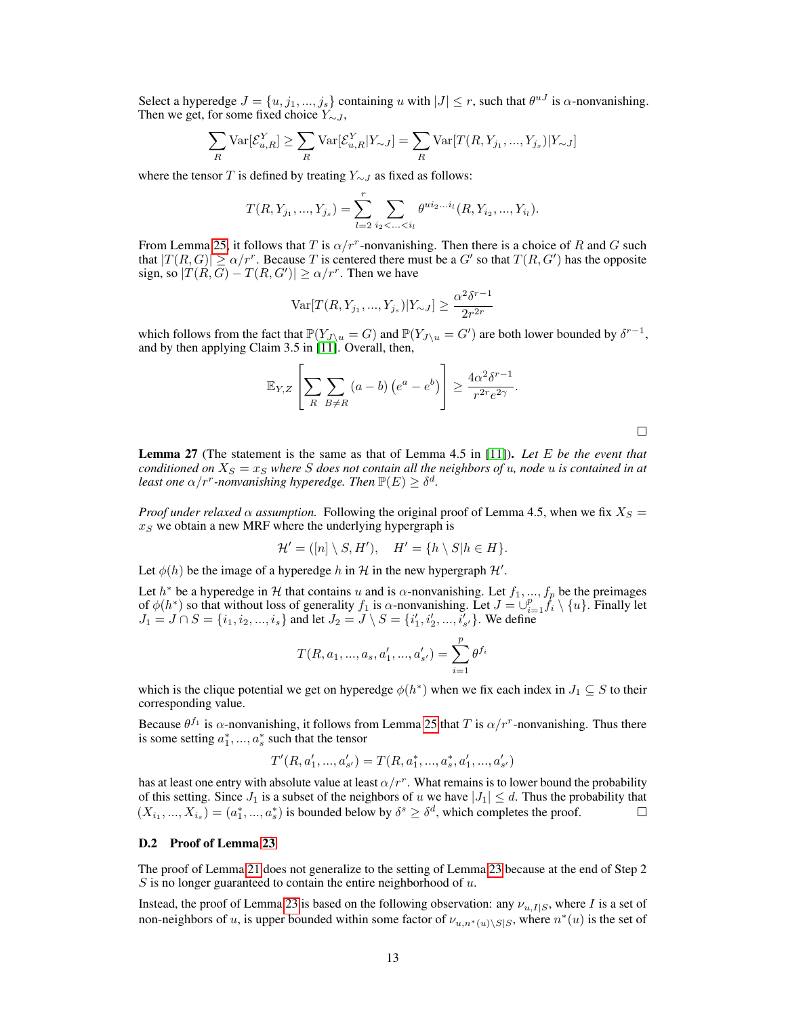Select a hyperedge  $J = \{u, j_1, ..., j_s\}$  containing u with  $|J| \leq r$ , such that  $\theta^{uJ}$  is  $\alpha$ -nonvanishing. Then we get, for some fixed choice  $Y_{\sim J}$ ,

$$
\sum_{R} \text{Var}[\mathcal{E}_{u,R}^Y] \ge \sum_{R} \text{Var}[\mathcal{E}_{u,R}^Y | Y_{\sim J}] = \sum_{R} \text{Var}[T(R, Y_{j_1}, ..., Y_{j_s}) | Y_{\sim J}]
$$

where the tensor T is defined by treating  $Y_{\sim J}$  as fixed as follows:

$$
T(R, Y_{j_1}, ..., Y_{j_s}) = \sum_{l=2}^r \sum_{i_2 < ... < i_l} \theta^{ui_2...i_l}(R, Y_{i_2}, ..., Y_{i_l}).
$$

From Lemma [25,](#page-11-0) it follows that T is  $\alpha/r^r$ -nonvanishing. Then there is a choice of R and G such that  $|T(R, G)| \ge \alpha/r^r$ . Because T is centered there must be a G' so that  $T(R, G')$  has the opposite sign, so  $|T(R, G) - T(R, G')| \ge \alpha/r^r$ . Then we have

Var[
$$
T(R, Y_{j_1}, ..., Y_{j_s})|Y_{\sim J}] \ge \frac{\alpha^2 \delta^{r-1}}{2r^{2r}}
$$

which follows from the fact that  $\mathbb{P}(Y_{J\setminus u} = G)$  and  $\mathbb{P}(Y_{J\setminus u} = G')$  are both lower bounded by  $\delta^{r-1}$ , and by then applying Claim 3.5 in [11]. Overall, then,

$$
\mathbb{E}_{Y,Z}\left[\sum_{R}\sum_{B\neq R}(a-b)\left(e^a-e^b\right)\right] \geq \frac{4\alpha^2\delta^{r-1}}{r^{2r}e^{2\gamma}}.
$$

 $\Box$ 

<span id="page-12-1"></span>Lemma 27 (The statement is the same as that of Lemma 4.5 in [11]). *Let* E *be the event that conditioned on*  $X_s = x_s$  *where* S *does not contain all the neighbors of* u, node u *is contained in at least one*  $\alpha/r^r$ -nonvanishing hyperedge. Then  $\mathbb{P}(E) \geq \delta^d$ .

*Proof under relaxed*  $\alpha$  *assumption.* Following the original proof of Lemma 4.5, when we fix  $X_S =$  $x<sub>S</sub>$  we obtain a new MRF where the underlying hypergraph is

$$
\mathcal{H}' = ([n] \setminus S, H'), \quad H' = \{h \setminus S | h \in H\}.
$$

Let  $\phi(h)$  be the image of a hyperedge h in H in the new hypergraph H'.

Let  $h^*$  be a hyperedge in H that contains u and is  $\alpha$ -nonvanishing. Let  $f_1, ..., f_p$  be the preimages of  $\phi(h^*)$  so that without loss of generality  $f_1$  is  $\alpha$ -nonvanishing. Let  $J = \bigcup_{i=1}^p f_i \setminus \{u\}$ . Finally let  $J_1 = J \cap S = \{i_1, i_2, ..., i_s\}$  and let  $J_2 = J \setminus S = \{i'_1, i'_2, ..., i'_{s'}\}$ . We define

$$
T(R, a_1, ..., a_s, a'_1, ..., a'_{s'}) = \sum_{i=1}^{p} \theta^{f_i}
$$

which is the clique potential we get on hyperedge  $\phi(h^*)$  when we fix each index in  $J_1 \subseteq S$  to their corresponding value.

Because  $\theta^{f_1}$  is  $\alpha$ -nonvanishing, it follows from Lemma [25](#page-11-0) that T is  $\alpha/r^r$ -nonvanishing. Thus there is some setting  $a_1^*,..., a_s^*$  such that the tensor

$$
T'(R,a'_1,...,a'_{s'})=T(R,a_1^*,...,a_s^*,a'_1,...,a'_{s'})\\
$$

has at least one entry with absolute value at least  $\alpha/r^r$ . What remains is to lower bound the probability of this setting. Since  $J_1$  is a subset of the neighbors of u we have  $|J_1| \leq d$ . Thus the probability that  $(X_{i_1},..., X_{i_s}) = (a_1^*,..., a_s^*)$  is bounded below by  $\delta^s \geq \delta^d$ , which completes the proof.  $\Box$ 

#### <span id="page-12-0"></span>D.2 Proof of Lemma [23](#page-10-1)

The proof of Lemma [21](#page-7-2) does not generalize to the setting of Lemma [23](#page-10-1) because at the end of Step 2  $S$  is no longer guaranteed to contain the entire neighborhood of  $u$ .

Instead, the proof of Lemma [23](#page-10-1) is based on the following observation: any  $\nu_{u,I|S}$ , where I is a set of non-neighbors of u, is upper bounded within some factor of  $\nu_{u,n^*(u)\setminus S|S}$ , where  $n^*(u)$  is the set of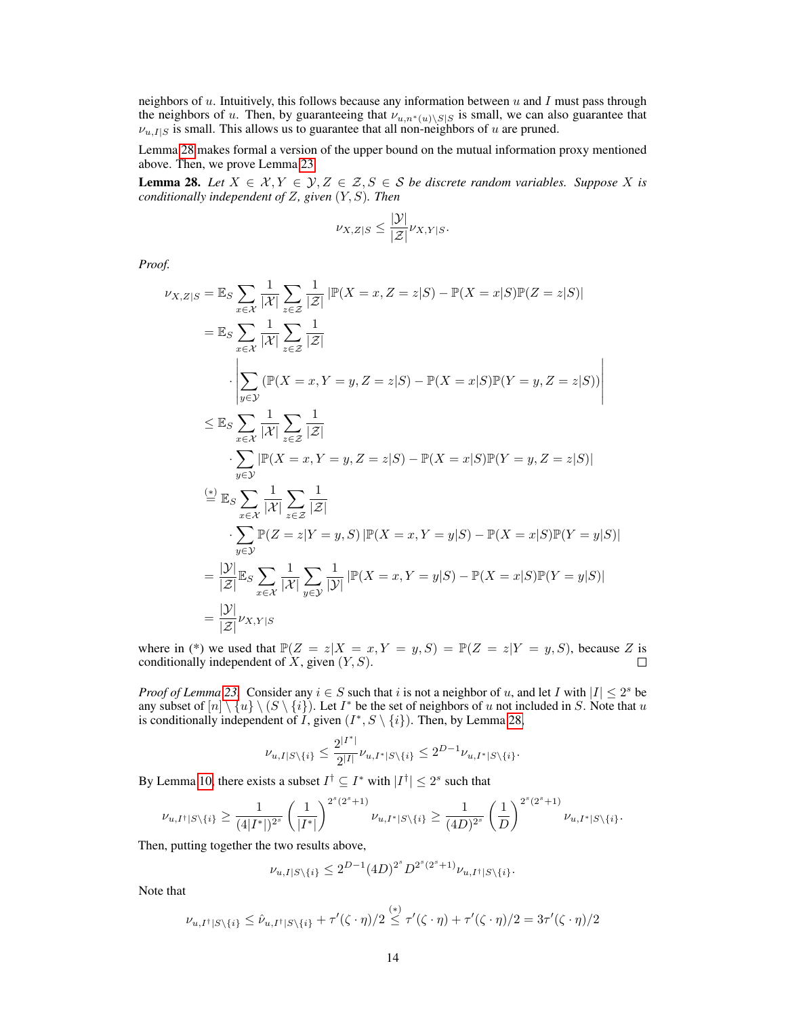neighbors of u. Intuitively, this follows because any information between u and I must pass through the neighbors of u. Then, by guaranteeing that  $\nu_{u,n*(u)\setminus S|S}$  is small, we can also guarantee that  $\nu_{u,I|S}$  is small. This allows us to guarantee that all non-neighbors of u are pruned.

Lemma [28](#page-13-0) makes formal a version of the upper bound on the mutual information proxy mentioned above. Then, we prove Lemma [23.](#page-10-1)

<span id="page-13-0"></span>**Lemma 28.** Let  $X \in \mathcal{X}, Y \in \mathcal{Y}, Z \in \mathcal{Z}, S \in \mathcal{S}$  be discrete random variables. Suppose X is *conditionally independent of* Z*, given* (Y, S)*. Then*

$$
\nu_{X,Z|S} \le \frac{|\mathcal{Y}|}{|\mathcal{Z}|} \nu_{X,Y|S}.
$$

*Proof.*

$$
\nu_{X,Z|S} = \mathbb{E}_{S} \sum_{x \in \mathcal{X}} \frac{1}{|\mathcal{X}|} \sum_{z \in \mathcal{Z}} \frac{1}{|\mathcal{Z}|} |\mathbb{P}(X = x, Z = z|S) - \mathbb{P}(X = x|S)\mathbb{P}(Z = z|S)|
$$
  
\n
$$
= \mathbb{E}_{S} \sum_{x \in \mathcal{X}} \frac{1}{|\mathcal{X}|} \sum_{z \in \mathcal{Z}} \frac{1}{|\mathcal{Z}|}
$$
  
\n
$$
\cdot \left| \sum_{y \in \mathcal{Y}} (\mathbb{P}(X = x, Y = y, Z = z|S) - \mathbb{P}(X = x|S)\mathbb{P}(Y = y, Z = z|S)) \right|
$$
  
\n
$$
\leq \mathbb{E}_{S} \sum_{x \in \mathcal{X}} \frac{1}{|\mathcal{X}|} \sum_{z \in \mathcal{Z}} \frac{1}{|\mathcal{Z}|}
$$
  
\n
$$
\cdot \sum_{y \in \mathcal{Y}} |\mathbb{P}(X = x, Y = y, Z = z|S) - \mathbb{P}(X = x|S)\mathbb{P}(Y = y, Z = z|S)|
$$
  
\n
$$
\stackrel{\text{(*)}}{=} \mathbb{E}_{S} \sum_{x \in \mathcal{X}} \frac{1}{|\mathcal{X}|} \sum_{z \in \mathcal{Z}} \frac{1}{|\mathcal{Z}|}
$$
  
\n
$$
\cdot \sum_{y \in \mathcal{Y}} \mathbb{P}(Z = z|Y = y, S) |\mathbb{P}(X = x, Y = y|S) - \mathbb{P}(X = x|S)\mathbb{P}(Y = y|S)|
$$
  
\n
$$
= \frac{|\mathcal{Y}|}{|\mathcal{Z}|} \mathbb{E}_{S} \sum_{x \in \mathcal{X}} \frac{1}{|\mathcal{X}|} \sum_{y \in \mathcal{Y}} \frac{1}{|\mathcal{Y}|} |\mathbb{P}(X = x, Y = y|S) - \mathbb{P}(X = x|S)\mathbb{P}(Y = y|S)|
$$
  
\n
$$
= \frac{|\mathcal{Y}|}{|\mathcal{Z}|} \nu_{X,Y|S}
$$

where in (\*) we used that  $\mathbb{P}(Z = z | X = x, Y = y, S) = \mathbb{P}(Z = z | Y = y, S)$ , because Z is conditionally independent of X, given  $(Y, S)$ . conditionally independent of  $X$ , given  $(Y, S)$ .

*Proof of Lemma* [23.](#page-10-1) Consider any  $i \in S$  such that i is not a neighbor of u, and let I with  $|I| \leq 2^s$  be any subset of  $[n] \setminus \{u\} \setminus (S \setminus \{i\})$ . Let  $I^*$  be the set of neighbors of u not included in S. Note that u is conditionally independent of *I*, given  $(I^*, S \setminus \{i\})$ . Then, by Lemma [28,](#page-13-0)

$$
\nu_{u,I|S\backslash\{i\}}\leq \frac{2^{|I^*|}}{2^{|I|}}\nu_{u,I^*|S\backslash\{i\}}\leq 2^{D-1}\nu_{u,I^*|S\backslash\{i\}}.
$$

By Lemma 10, there exists a subset  $I^{\dagger} \subseteq I^*$  with  $|I^{\dagger}| \leq 2^s$  such that

$$
\nu_{u,I^{\dagger}|S\setminus\{i\}} \ge \frac{1}{(4|I^*|)^{2^s}} \left(\frac{1}{|I^*|}\right)^{2^s(2^s+1)} \nu_{u,I^*|S\setminus\{i\}} \ge \frac{1}{(4D)^{2^s}} \left(\frac{1}{D}\right)^{2^s(2^s+1)} \nu_{u,I^*|S\setminus\{i\}}.
$$

Then, putting together the two results above,

$$
\nu_{u,I|S\setminus\{i\}} \le 2^{D-1} (4D)^{2^s} D^{2^s(2^s+1)} \nu_{u,I^{\dagger}|S\setminus\{i\}}.
$$

Note that

$$
\nu_{u,I^{\dagger}|S\setminus\{i\}} \leq \hat{\nu}_{u,I^{\dagger}|S\setminus\{i\}} + \tau'(\zeta \cdot \eta)/2 \stackrel{(*)}{\leq} \tau'(\zeta \cdot \eta) + \tau'(\zeta \cdot \eta)/2 = 3\tau'(\zeta \cdot \eta)/2
$$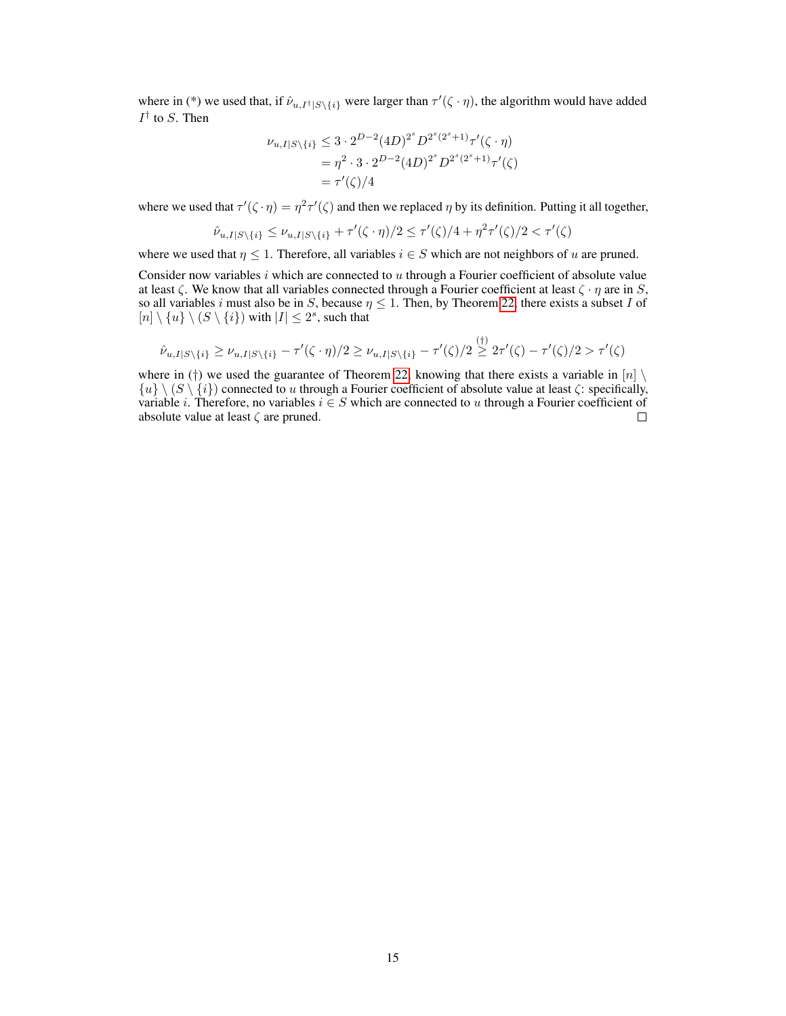where in (\*) we used that, if  $\hat{\nu}_{u,I^{\dagger}|S\setminus\{i\}}$  were larger than  $\tau'(\zeta \cdot \eta)$ , the algorithm would have added  $I^{\dagger}$  to S. Then

$$
\nu_{u,I|S\setminus\{i\}} \le 3 \cdot 2^{D-2} (4D)^{2^s} D^{2^s(2^s+1)} \tau'(\zeta \cdot \eta)
$$
  
=  $\eta^2 \cdot 3 \cdot 2^{D-2} (4D)^{2^s} D^{2^s(2^s+1)} \tau'(\zeta)$   
=  $\tau'(\zeta)/4$ 

where we used that  $\tau'(\zeta \cdot \eta) = \eta^2 \tau'(\zeta)$  and then we replaced  $\eta$  by its definition. Putting it all together,

$$
\hat{\nu}_{u,I|S\setminus\{i\}} \le \nu_{u,I|S\setminus\{i\}} + \tau'(\zeta \cdot \eta)/2 \le \tau'(\zeta)/4 + \eta^2 \tau'(\zeta)/2 < \tau'(\zeta)
$$

where we used that  $\eta \leq 1$ . Therefore, all variables  $i \in S$  which are not neighbors of u are pruned.

Consider now variables  $i$  which are connected to  $u$  through a Fourier coefficient of absolute value at least  $\zeta$ . We know that all variables connected through a Fourier coefficient at least  $\zeta \cdot \eta$  are in S, so all variables i must also be in S, because  $\eta \leq 1$ . Then, by Theorem [22,](#page-10-0) there exists a subset I of  $[n] \setminus \{u\} \setminus (S \setminus \{i\})$  with  $|I| \leq 2^s$ , such that

$$
\hat{\nu}_{u,I|S\setminus\{i\}} \ge \nu_{u,I|S\setminus\{i\}} - \tau'(\zeta \cdot \eta)/2 \ge \nu_{u,I|S\setminus\{i\}} - \tau'(\zeta)/2 \stackrel{(\dagger)}{\ge} 2\tau'(\zeta) - \tau'(\zeta)/2 > \tau'(\zeta)
$$

where in (†) we used the guarantee of Theorem [22,](#page-10-0) knowing that there exists a variable in  $[n] \setminus$  ${u} \ (S \setminus {i})$  connected to u through a Fourier coefficient of absolute value at least  $\zeta$ : specifically, variable *i*. Therefore, no variables  $i \in S$  which are connected to u through a Fourier coefficient of absolute value at least  $\zeta$  are pruned.  $\Box$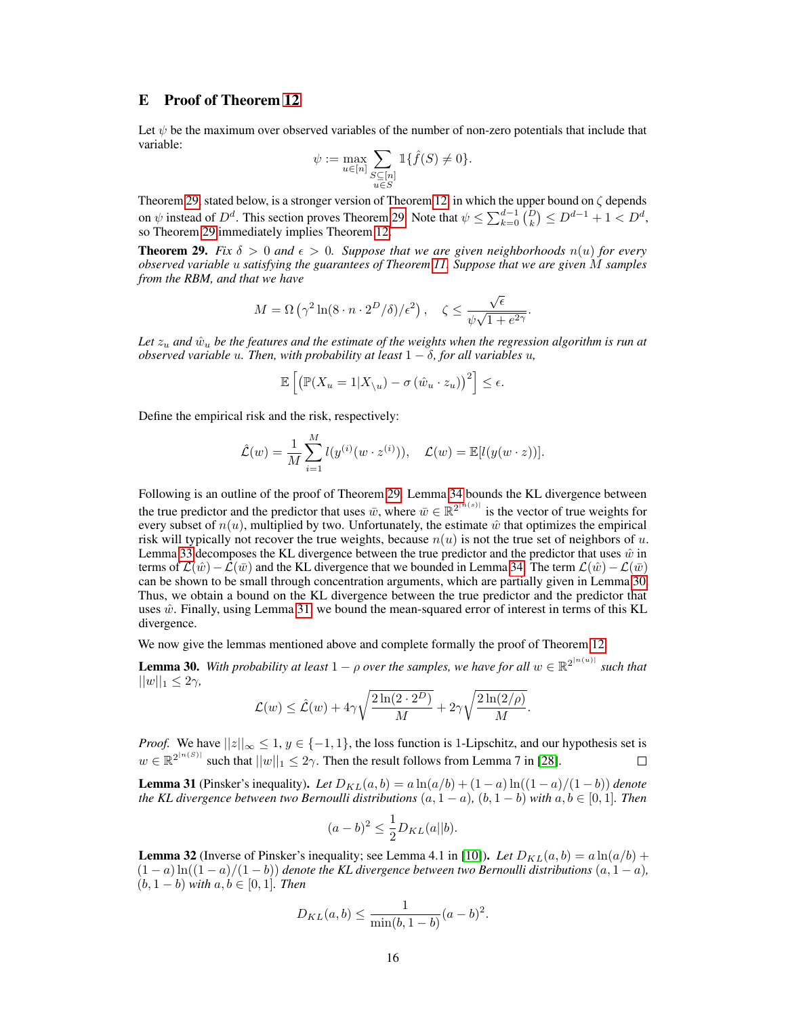# E Proof of Theorem 12

Let  $\psi$  be the maximum over observed variables of the number of non-zero potentials that include that variable:

$$
\psi:=\max_{u\in [n]}\sum_{\substack{S\subseteq [n]\\ u\in S}}\mathbbm{1}\{\widehat{f}(S)\neq 0\}.
$$

Theorem [29,](#page-15-0) stated below, is a stronger version of Theorem 12, in which the upper bound on  $\zeta$  depends on  $\psi$  instead of  $D^d$ . This section proves Theorem [29.](#page-15-0) Note that  $\psi \leq \sum_{k=0}^{d-1} {D \choose k} \leq D^{d-1} + 1 < D^d$ , so Theorem [29](#page-15-0) immediately implies Theorem 12.

<span id="page-15-0"></span>**Theorem 29.** Fix  $\delta > 0$  and  $\epsilon > 0$ . Suppose that we are given neighborhoods  $n(u)$  for every *observed variable* u *satisfying the guarantees of Theorem 11. Suppose that we are given* M *samples from the RBM, and that we have*

$$
M = \Omega\left(\gamma^2 \ln(8 \cdot n \cdot 2^D/\delta)/\epsilon^2\right), \quad \zeta \le \frac{\sqrt{\epsilon}}{\psi\sqrt{1 + e^{2\gamma}}}.
$$

Let  $z_u$  and  $\hat{w}_u$  be the features and the estimate of the weights when the regression algorithm is run at *observed variable u. Then, with probability at least*  $1 - \delta$ *, for all variables u,* 

$$
\mathbb{E}\left[\left(\mathbb{P}(X_u=1|X_{\setminus u})-\sigma\left(\hat{w}_u\cdot z_u\right)\right)^2\right]\leq\epsilon.
$$

Define the empirical risk and the risk, respectively:

$$
\hat{\mathcal{L}}(w) = \frac{1}{M} \sum_{i=1}^{M} l(y^{(i)}(w \cdot z^{(i)})), \quad \mathcal{L}(w) = \mathbb{E}[l(y(w \cdot z))].
$$

Following is an outline of the proof of Theorem [29.](#page-15-0) Lemma [34](#page-16-0) bounds the KL divergence between the true predictor and the predictor that uses  $\bar{w}$ , where  $\bar{w} \in \mathbb{R}^{2^{\lfloor n(s) \rfloor}}$  is the vector of true weights for every subset of  $n(u)$ , multiplied by two. Unfortunately, the estimate  $\hat{w}$  that optimizes the empirical risk will typically not recover the true weights, because  $n(u)$  is not the true set of neighbors of u. Lemma [33](#page-16-1) decomposes the KL divergence between the true predictor and the predictor that uses  $\hat{w}$  in terms of  $\mathcal{L}(\hat{w})-\mathcal{L}(\bar{w})$  and the KL divergence that we bounded in Lemma [34.](#page-16-0) The term  $\mathcal{L}(\hat{w})-\mathcal{L}(\bar{w})$ can be shown to be small through concentration arguments, which are partially given in Lemma [30.](#page-15-1) Thus, we obtain a bound on the KL divergence between the true predictor and the predictor that uses  $\hat{w}$ . Finally, using Lemma [31,](#page-15-2) we bound the mean-squared error of interest in terms of this KL divergence.

We now give the lemmas mentioned above and complete formally the proof of Theorem 12.

<span id="page-15-1"></span>**Lemma 30.** With probability at least  $1 - \rho$  over the samples, we have for all  $w \in \mathbb{R}^{2^{|n(u)|}}$  such that  $||w||_1 \leq 2\gamma$ ,

$$
\mathcal{L}(w) \leq \hat{\mathcal{L}}(w) + 4\gamma \sqrt{\frac{2\ln(2 \cdot 2^D)}{M}} + 2\gamma \sqrt{\frac{2\ln(2/\rho)}{M}}.
$$

*Proof.* We have  $||z||_{\infty} \leq 1$ ,  $y \in \{-1, 1\}$ , the loss function is 1-Lipschitz, and our hypothesis set is  $w \in \mathbb{R}^{2^{\lfloor n(S) \rfloor}}$  such that  $||w||_1 \leq 2\gamma$ . Then the result follows from Lemma 7 in [28].

<span id="page-15-2"></span>**Lemma 31** (Pinsker's inequality). Let  $D_{KL}(a, b) = a \ln(a/b) + (1 - a) \ln((1 - a)/(1 - b))$  denote *the KL divergence between two Bernoulli distributions*  $(a, 1 - a)$ *,*  $(b, 1 - b)$  *with*  $a, b \in [0, 1]$ *. Then* 

$$
(a-b)^2 \le \frac{1}{2}D_{KL}(a||b).
$$

<span id="page-15-3"></span>**Lemma 32** (Inverse of Pinsker's inequality; see Lemma 4.1 in [10]). Let  $D_{KL}(a, b) = a \ln(a/b) + b$  $(1 - a) \ln((1 - a)/(1 - b))$  *denote the KL divergence between two Bernoulli distributions*  $(a, 1 - a)$ ,  $(b, 1 - b)$  *with*  $a, b \in [0, 1]$ *. Then* 

$$
D_{KL}(a, b) \le \frac{1}{\min(b, 1 - b)} (a - b)^2.
$$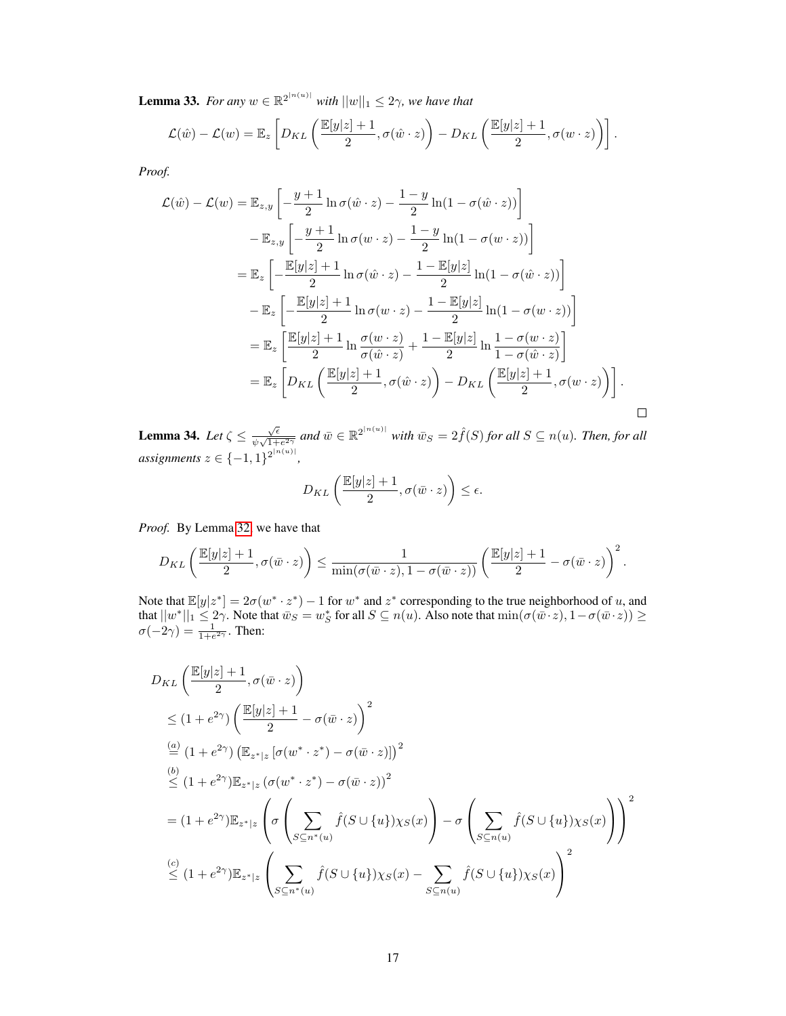<span id="page-16-1"></span>**Lemma 33.** For any  $w \in \mathbb{R}^{2^{|n(u)|}}$  with  $||w||_1 \leq 2\gamma$ , we have that

$$
\mathcal{L}(\hat{w}) - \mathcal{L}(w) = \mathbb{E}_z \left[ D_{KL} \left( \frac{\mathbb{E}[y|z] + 1}{2}, \sigma(\hat{w} \cdot z) \right) - D_{KL} \left( \frac{\mathbb{E}[y|z] + 1}{2}, \sigma(w \cdot z) \right) \right].
$$

*Proof.*

$$
\mathcal{L}(\hat{w}) - \mathcal{L}(w) = \mathbb{E}_{z,y} \left[ -\frac{y+1}{2} \ln \sigma(\hat{w} \cdot z) - \frac{1-y}{2} \ln(1 - \sigma(\hat{w} \cdot z)) \right]
$$
  
\n
$$
- \mathbb{E}_{z,y} \left[ -\frac{y+1}{2} \ln \sigma(w \cdot z) - \frac{1-y}{2} \ln(1 - \sigma(w \cdot z)) \right]
$$
  
\n
$$
= \mathbb{E}_{z} \left[ -\frac{\mathbb{E}[y|z] + 1}{2} \ln \sigma(\hat{w} \cdot z) - \frac{1-\mathbb{E}[y|z]}{2} \ln(1 - \sigma(\hat{w} \cdot z)) \right]
$$
  
\n
$$
- \mathbb{E}_{z} \left[ -\frac{\mathbb{E}[y|z] + 1}{2} \ln \sigma(w \cdot z) - \frac{1-\mathbb{E}[y|z]}{2} \ln(1 - \sigma(w \cdot z)) \right]
$$
  
\n
$$
= \mathbb{E}_{z} \left[ \frac{\mathbb{E}[y|z] + 1}{2} \ln \frac{\sigma(w \cdot z)}{\sigma(\hat{w} \cdot z)} + \frac{1-\mathbb{E}[y|z]}{2} \ln \frac{1-\sigma(w \cdot z)}{1-\sigma(\hat{w} \cdot z)} \right]
$$
  
\n
$$
= \mathbb{E}_{z} \left[ D_{KL} \left( \frac{\mathbb{E}[y|z] + 1}{2}, \sigma(\hat{w} \cdot z) \right) - D_{KL} \left( \frac{\mathbb{E}[y|z] + 1}{2}, \sigma(w \cdot z) \right) \right].
$$

<span id="page-16-0"></span>**Lemma 34.** *Let*  $\zeta \leq \frac{\sqrt{\epsilon}}{4\sqrt{1+\epsilon}}$  $\frac{\sqrt{\epsilon}}{\psi\sqrt{1+e^{2\gamma}}}$  and  $\bar{w}\in\mathbb{R}^{2^{|n(u)|}}$  with  $\bar{w}_S=2\hat{f}(S)$  for all  $S\subseteq n(u)$ *. Then, for all*  $$ 

 $\Box$ 

$$
D_{KL}\left(\frac{\mathbb{E}[y|z]+1}{2}, \sigma(\bar{w}\cdot z)\right)\leq \epsilon.
$$

*Proof.* By Lemma [32,](#page-15-3) we have that

$$
D_{KL}\left(\frac{\mathbb{E}[y|z]+1}{2}, \sigma(\bar{w}\cdot z)\right) \leq \frac{1}{\min(\sigma(\bar{w}\cdot z), 1-\sigma(\bar{w}\cdot z))}\left(\frac{\mathbb{E}[y|z]+1}{2}-\sigma(\bar{w}\cdot z)\right)^2.
$$

Note that  $\mathbb{E}[y|z^*] = 2\sigma(w^* \cdot z^*) - 1$  for  $w^*$  and  $z^*$  corresponding to the true neighborhood of u, and that  $||w^*||_1 \le 2\gamma$ . Note that  $\bar{w}_S = w_S^*$  for all  $S \subseteq n(u)$ . Also note that  $\min(\sigma(\bar{w} \cdot z), 1 - \sigma(\bar{w} \cdot z)) \ge$  $\sigma(-2\gamma) = \frac{1}{1+e^{2\gamma}}$ . Then:

$$
D_{KL}\left(\frac{\mathbb{E}[y|z]+1}{2}, \sigma(\bar{w} \cdot z)\right)
$$
  
\n
$$
\leq (1 + e^{2\gamma})\left(\frac{\mathbb{E}[y|z]+1}{2} - \sigma(\bar{w} \cdot z)\right)^{2}
$$
  
\n
$$
\stackrel{(a)}{=} (1 + e^{2\gamma})\left(\mathbb{E}_{z^{*}|z}\left[\sigma(w^{*} \cdot z^{*}) - \sigma(\bar{w} \cdot z)\right]\right)^{2}
$$
  
\n
$$
\stackrel{(b)}{\leq} (1 + e^{2\gamma})\mathbb{E}_{z^{*}|z}\left(\sigma(w^{*} \cdot z^{*}) - \sigma(\bar{w} \cdot z)\right)^{2}
$$
  
\n
$$
= (1 + e^{2\gamma})\mathbb{E}_{z^{*}|z}\left(\sigma\left(\sum_{S \subseteq n^{*}(u)} \hat{f}(S \cup \{u\})\chi_{S}(x)\right) - \sigma\left(\sum_{S \subseteq n(u)} \hat{f}(S \cup \{u\})\chi_{S}(x)\right)\right)^{2}
$$
  
\n
$$
\stackrel{(c)}{\leq} (1 + e^{2\gamma})\mathbb{E}_{z^{*}|z}\left(\sum_{S \subseteq n^{*}(u)} \hat{f}(S \cup \{u\})\chi_{S}(x) - \sum_{S \subseteq n(u)} \hat{f}(S \cup \{u\})\chi_{S}(x)\right)^{2}
$$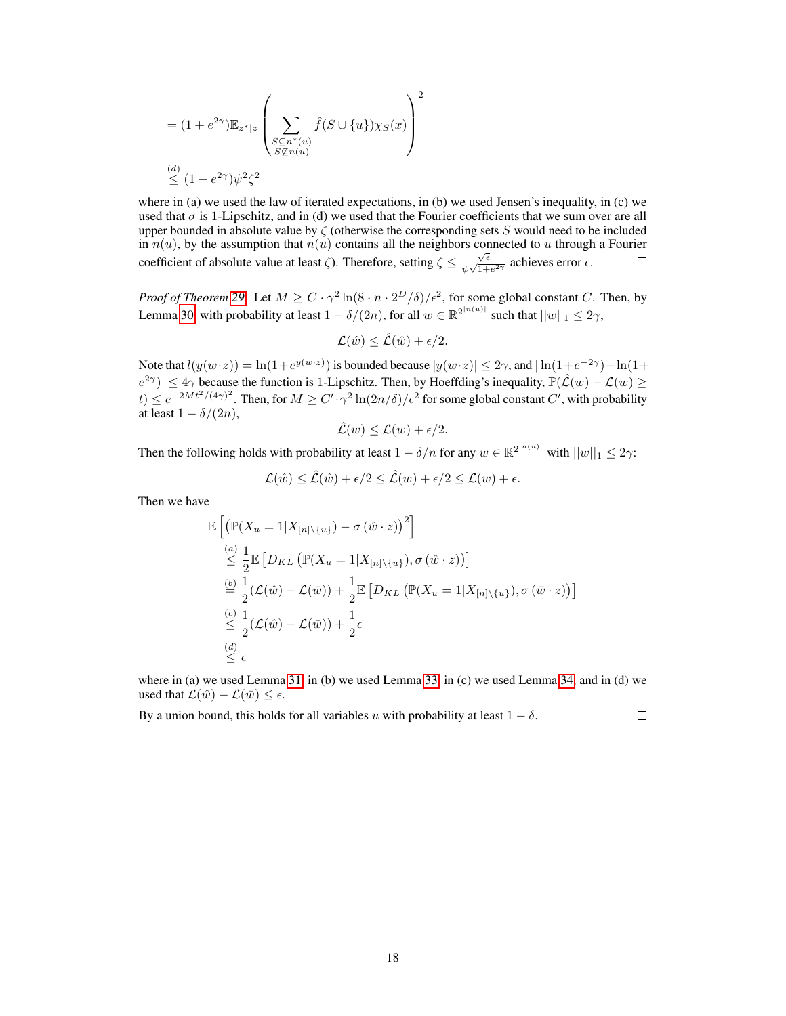$$
= (1 + e^{2\gamma}) \mathbb{E}_{z^*|z} \left( \sum_{\substack{S \subseteq n^*(u) \\ S \nsubseteq n(u)}} \hat{f}(S \cup \{u\}) \chi_S(x) \right)^2
$$
  

$$
\stackrel{(d)}{\leq} (1 + e^{2\gamma}) \psi^2 \zeta^2
$$

where in (a) we used the law of iterated expectations, in (b) we used Jensen's inequality, in (c) we used that  $\sigma$  is 1-Lipschitz, and in (d) we used that the Fourier coefficients that we sum over are all upper bounded in absolute value by  $\zeta$  (otherwise the corresponding sets S would need to be included in  $n(u)$ , by the assumption that  $n(u)$  contains all the neighbors connected to u through a Fourier coefficient of absolute value at least  $\zeta$ ). Therefore, setting  $\zeta \leq \sqrt{\zeta}$  $\Box$  $\frac{\sqrt{\epsilon}}{\psi\sqrt{1+e^{2\gamma}}}$  achieves error  $\epsilon$ .

*Proof of Theorem [29.](#page-15-0)* Let  $M \ge C \cdot \gamma^2 \ln(8 \cdot n \cdot 2^D/\delta)/\epsilon^2$ , for some global constant C. Then, by Lemma [30,](#page-15-1) with probability at least  $1 - \delta/(2n)$ , for all  $w \in \mathbb{R}^{2^{|n(u)|}}$  such that  $||w||_1 \le 2\gamma$ ,

$$
\mathcal{L}(\hat{w}) \leq \hat{\mathcal{L}}(\hat{w}) + \epsilon/2.
$$

Note that  $l(y(w \cdot z)) = \ln(1 + e^{y(w \cdot z)})$  is bounded because  $|y(w \cdot z)| \le 2\gamma$ , and  $|\ln(1 + e^{-2\gamma}) - \ln(1 + e^{-2\gamma})|$  $|e^{2\gamma}| \leq 4\gamma$  because the function is 1-Lipschitz. Then, by Hoeffding's inequality,  $\mathbb{P}(\hat{\mathcal{L}}(w) - \mathcal{L}(w)) \geq$  $t) \le e^{-2Mt^2/(4\gamma)^2}$ . Then, for  $M \ge C' \cdot \gamma^2 \ln(2n/\delta)/\epsilon^2$  for some global constant  $C'$ , with probability at least  $1 - \delta/(2n)$ ,

$$
\hat{\mathcal{L}}(w) \leq \mathcal{L}(w) + \epsilon/2.
$$

Then the following holds with probability at least  $1 - \delta/n$  for any  $w \in \mathbb{R}^{2^{|n(u)|}}$  with  $||w||_1 \le 2\gamma$ :

$$
\mathcal{L}(\hat{w}) \le \hat{\mathcal{L}}(\hat{w}) + \epsilon/2 \le \hat{\mathcal{L}}(w) + \epsilon/2 \le \mathcal{L}(w) + \epsilon.
$$

Then we have

$$
\mathbb{E}\left[\left(\mathbb{P}(X_u = 1 | X_{[n] \setminus \{u\}}) - \sigma(\hat{w} \cdot z)\right)^2\right] \n\stackrel{(a)}{\leq} \frac{1}{2} \mathbb{E}\left[D_{KL}\left(\mathbb{P}(X_u = 1 | X_{[n] \setminus \{u\}}), \sigma(\hat{w} \cdot z)\right)\right] \n\stackrel{(b)}{=} \frac{1}{2}(\mathcal{L}(\hat{w}) - \mathcal{L}(\bar{w})) + \frac{1}{2} \mathbb{E}\left[D_{KL}\left(\mathbb{P}(X_u = 1 | X_{[n] \setminus \{u\}}), \sigma(\bar{w} \cdot z)\right)\right] \n\stackrel{(c)}{\leq} \frac{1}{2}(\mathcal{L}(\hat{w}) - \mathcal{L}(\bar{w})) + \frac{1}{2}\epsilon \n\stackrel{(d)}{\leq} \epsilon
$$

where in (a) we used Lemma [31,](#page-15-2) in (b) we used Lemma [33,](#page-16-1) in (c) we used Lemma [34,](#page-16-0) and in (d) we used that  $\mathcal{L}(\hat{w}) - \mathcal{L}(\bar{w}) \leq \epsilon$ .

By a union bound, this holds for all variables u with probability at least  $1 - \delta$ .  $\Box$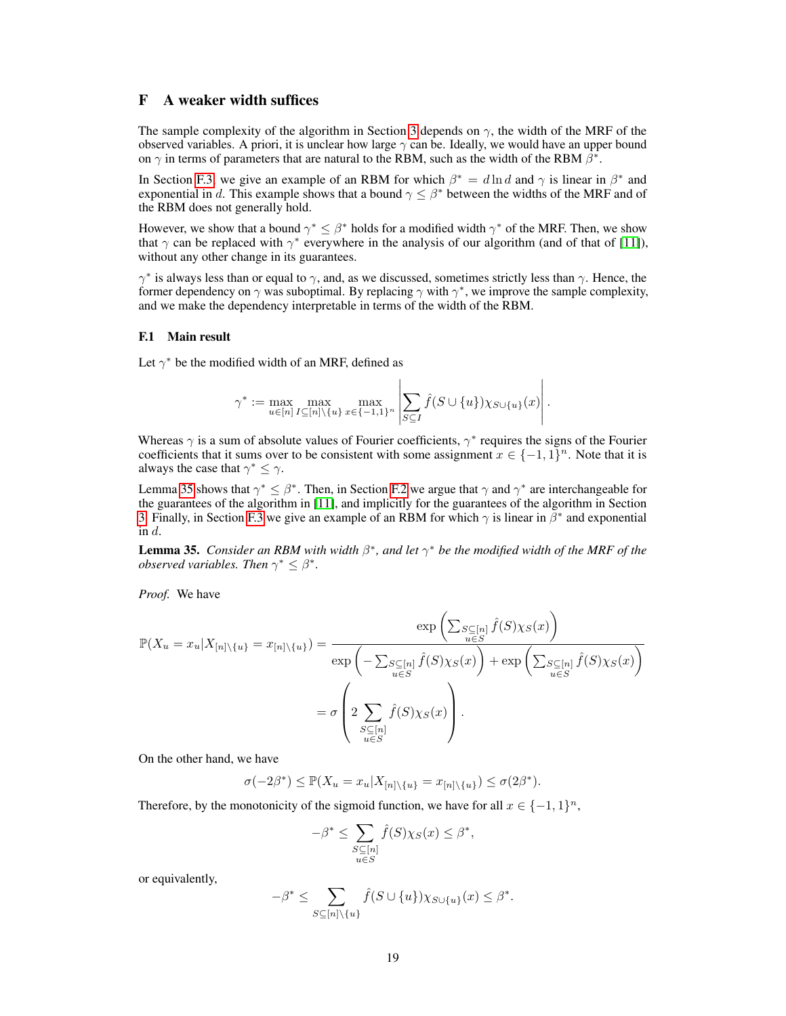# F A weaker width suffices

The sample complexity of the algorithm in Section 3 depends on  $\gamma$ , the width of the MRF of the observed variables. A priori, it is unclear how large  $\gamma$  can be. Ideally, we would have an upper bound on  $\gamma$  in terms of parameters that are natural to the RBM, such as the width of the RBM  $\hat{\beta}^*$ .

In Section [F.3,](#page-20-0) we give an example of an RBM for which  $\beta^* = d \ln d$  and  $\gamma$  is linear in  $\beta^*$  and exponential in d. This example shows that a bound  $\gamma \leq \beta^*$  between the widths of the MRF and of the RBM does not generally hold.

However, we show that a bound  $\gamma^* \leq \beta^*$  holds for a modified width  $\gamma^*$  of the MRF. Then, we show that  $\gamma$  can be replaced with  $\gamma^*$  everywhere in the analysis of our algorithm (and of that of [11]), without any other change in its guarantees.

 $\gamma^*$  is always less than or equal to  $\gamma$ , and, as we discussed, sometimes strictly less than  $\gamma$ . Hence, the former dependency on  $\gamma$  was suboptimal. By replacing  $\gamma$  with  $\gamma^*$ , we improve the sample complexity, and we make the dependency interpretable in terms of the width of the RBM.

## F.1 Main result

Let  $\gamma^*$  be the modified width of an MRF, defined as

$$
\gamma^* := \max_{u \in [n]}\max_{I \subseteq [n] \setminus \{u\}} \max_{x \in \{-1,1\}^n} \left| \sum_{S \subseteq I} \hat{f}(S \cup \{u\}) \chi_{S \cup \{u\}}(x) \right|.
$$

 $\overline{1}$ 

Whereas  $\gamma$  is a sum of absolute values of Fourier coefficients,  $\gamma^*$  requires the signs of the Fourier coefficients that it sums over to be consistent with some assignment  $x \in \{-1,1\}^n$ . Note that it is always the case that  $\gamma^* \leq \gamma$ .

Lemma [35](#page-18-0) shows that  $\gamma^* \leq \beta^*$ . Then, in Section [F.2](#page-19-0) we argue that  $\gamma$  and  $\gamma^*$  are interchangeable for the guarantees of the algorithm in [11], and implicitly for the guarantees of the algorithm in Section 3. Finally, in Section [F.3](#page-20-0) we give an example of an RBM for which  $\gamma$  is linear in  $\bar{\beta}^*$  and exponential in  $d$ .

<span id="page-18-0"></span>**Lemma 35.** *Consider an RBM with width*  $\beta^*$ , and let  $\gamma^*$  be the modified width of the MRF of the *observed variables. Then*  $\gamma^* \leq \beta^*$ *.* 

*Proof.* We have

$$
\mathbb{P}(X_u = x_u | X_{[n] \setminus \{u\}} = x_{[n] \setminus \{u\}}) = \frac{\exp\left(\sum_{\substack{S \subseteq [n] \\ u \in S}} \hat{f}(S)\chi_S(x)\right)}{\exp\left(-\sum_{\substack{S \subseteq [n] \\ u \in S}} \hat{f}(S)\chi_S(x)\right) + \exp\left(\sum_{\substack{S \subseteq [n] \\ u \in S}} \hat{f}(S)\chi_S(x)\right)}
$$

$$
= \sigma\left(2 \sum_{\substack{S \subseteq [n] \\ u \in S}} \hat{f}(S)\chi_S(x)\right).
$$

On the other hand, we have

$$
\sigma(-2\beta^*) \leq \mathbb{P}(X_u = x_u | X_{[n] \setminus \{u\}} = x_{[n] \setminus \{u\}}) \leq \sigma(2\beta^*).
$$

Therefore, by the monotonicity of the sigmoid function, we have for all  $x \in \{-1,1\}^n$ ,

$$
-\beta^* \le \sum_{\substack{S \subseteq [n] \\ u \in S}} \hat{f}(S) \chi_S(x) \le \beta^*,
$$

or equivalently,

$$
-\beta^* \leq \sum_{S \subseteq [n] \setminus \{u\}} \hat{f}(S \cup \{u\}) \chi_{S \cup \{u\}}(x) \leq \beta^*.
$$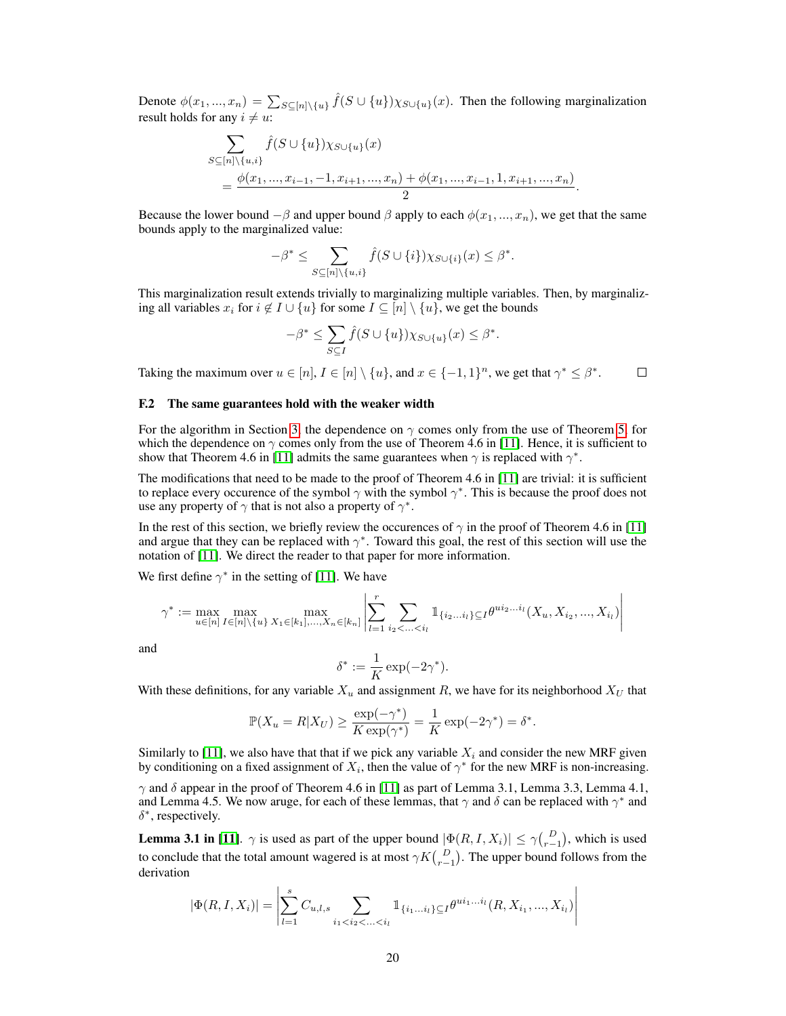Denote  $\phi(x_1,...,x_n) = \sum_{S \subseteq [n] \setminus \{u\}} \hat{f}(S \cup \{u\}) \chi_{S \cup \{u\}}(x)$ . Then the following marginalization result holds for any  $i \neq u$ :

$$
\sum_{S \subseteq [n] \setminus \{u, i\}} \hat{f}(S \cup \{u\}) \chi_{S \cup \{u\}}(x)
$$
  
= 
$$
\frac{\phi(x_1, ..., x_{i-1}, -1, x_{i+1}, ..., x_n) + \phi(x_1, ..., x_{i-1}, 1, x_{i+1}, ..., x_n)}{2}
$$

.

Because the lower bound  $-\beta$  and upper bound  $\beta$  apply to each  $\phi(x_1, ..., x_n)$ , we get that the same bounds apply to the marginalized value:

$$
-\beta^* \leq \sum_{S \subseteq [n] \setminus \{u,i\}} \hat{f}(S \cup \{i\}) \chi_{S \cup \{i\}}(x) \leq \beta^*.
$$

This marginalization result extends trivially to marginalizing multiple variables. Then, by marginalizing all variables  $x_i$  for  $i \notin I \cup \{u\}$  for some  $I \subseteq [n] \setminus \{u\}$ , we get the bounds

$$
-\beta^* \le \sum_{S \subseteq I} \hat{f}(S \cup \{u\}) \chi_{S \cup \{u\}}(x) \le \beta^*.
$$

Taking the maximum over  $u \in [n], I \in [n] \setminus \{u\}$ , and  $x \in \{-1,1\}^n$ , we get that  $\gamma^* \leq \beta^*$ .  $\Box$ 

### <span id="page-19-0"></span>F.2 The same guarantees hold with the weaker width

For the algorithm in Section 3, the dependence on  $\gamma$  comes only from the use of Theorem 5, for which the dependence on  $\gamma$  comes only from the use of Theorem 4.6 in [11]. Hence, it is sufficient to show that Theorem 4.6 in [11] admits the same guarantees when  $\gamma$  is replaced with  $\gamma^*$ .

The modifications that need to be made to the proof of Theorem 4.6 in [11] are trivial: it is sufficient to replace every occurence of the symbol  $\gamma$  with the symbol  $\gamma^*$ . This is because the proof does not use any property of  $\gamma$  that is not also a property of  $\gamma^*$ .

In the rest of this section, we briefly review the occurences of  $\gamma$  in the proof of Theorem 4.6 in [11] and argue that they can be replaced with  $\gamma^*$ . Toward this goal, the rest of this section will use the notation of [11]. We direct the reader to that paper for more information.

We first define  $\gamma^*$  in the setting of [11]. We have

$$
\gamma^* := \max_{u \in [n]} \max_{I \in [n] \setminus \{u\}} \max_{X_1 \in [k_1], \dots, X_n \in [k_n]} \left| \sum_{l=1}^r \sum_{i_2 < \dots < i_l} \mathbb{1}_{\{i_2 \dots i_l\} \subseteq I} \theta^{ui_2 \dots i_l} (X_u, X_{i_2}, \dots, X_{i_l}) \right|
$$

and

$$
\delta^* := \frac{1}{K} \exp(-2\gamma^*).
$$

With these definitions, for any variable  $X_u$  and assignment R, we have for its neighborhood  $X_U$  that

$$
\mathbb{P}(X_u = R | X_U) \ge \frac{\exp(-\gamma^*)}{K \exp(\gamma^*)} = \frac{1}{K} \exp(-2\gamma^*) = \delta^*.
$$

Similarly to [11], we also have that that if we pick any variable  $X_i$  and consider the new MRF given by conditioning on a fixed assignment of  $X_i$ , then the value of  $\gamma^*$  for the new MRF is non-increasing.

 $\gamma$  and  $\delta$  appear in the proof of Theorem 4.6 in [11] as part of Lemma 3.1, Lemma 3.3, Lemma 4.1, and Lemma 4.5. We now aruge, for each of these lemmas, that  $\gamma$  and  $\delta$  can be replaced with  $\gamma^*$  and  $\delta^*$ , respectively.

**Lemma 3.1 in [11].**  $\gamma$  is used as part of the upper bound  $|\Phi(R, I, X_i)| \leq \gamma {D \choose r-1}$ , which is used to conclude that the total amount wagered is at most  $\gamma K\binom{D}{r-1}$ . The upper bound follows from the derivation

$$
|\Phi(R, I, X_i)| = \left| \sum_{l=1}^{s} C_{u,l,s} \sum_{i_1 < i_2 < \ldots < i_l} \mathbb{1}_{\{i_1 \ldots i_l\} \subseteq I} \theta^{ui_1 \ldots i_l} (R, X_{i_1}, \ldots, X_{i_l}) \right|
$$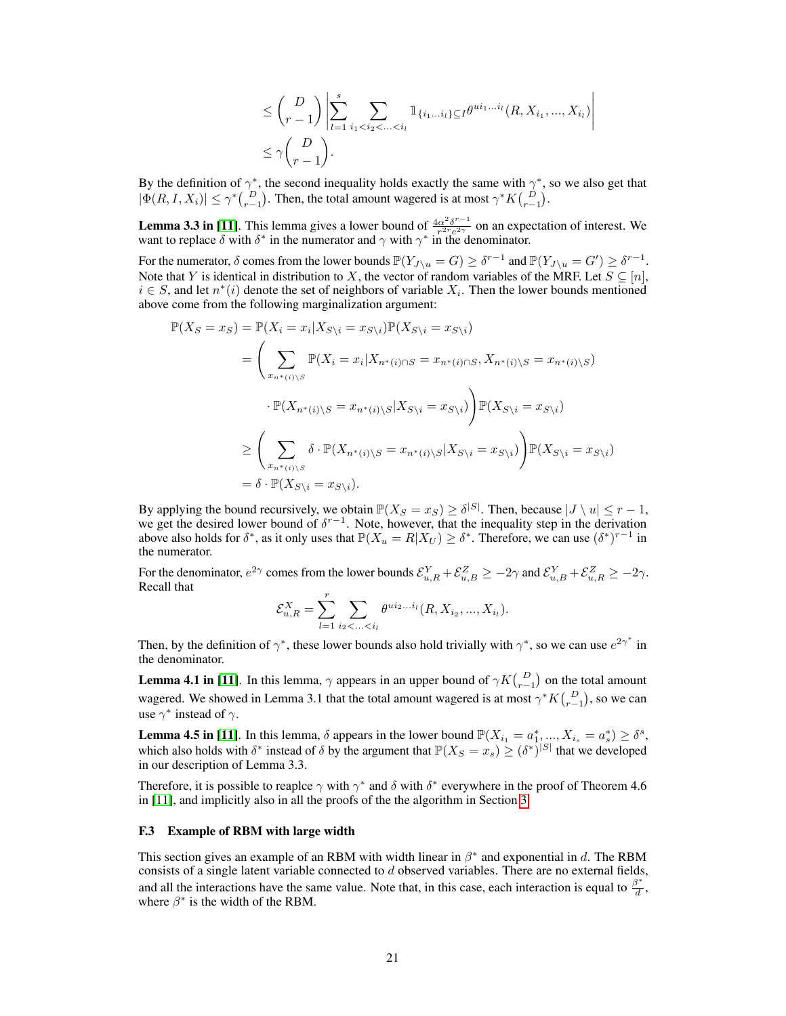$$
\leq {D \choose r-1} \left| \sum_{l=1}^{s} \sum_{i_1 < i_2 < \ldots < i_l} \mathbb{1}_{\{i_1 \ldots i_l\} \subseteq I} \theta^{ui_1 \ldots i_l} (R, X_{i_1}, \ldots, X_{i_l}) \right|
$$
\n
$$
\leq \gamma {D \choose r-1}.
$$

By the definition of  $\gamma^*$ , the second inequality holds exactly the same with  $\gamma^*$ , so we also get that  $|\Phi(R, I, X_i)| \leq \gamma^* {D \choose r-1}$ . Then, the total amount wagered is at most  $\gamma^* K {D \choose r-1}$ .

**Lemma 3.3 in [11].** This lemma gives a lower bound of  $\frac{4\alpha^2\delta^{r-1}}{r^{2r}e^{2\gamma}}$  $\frac{\alpha^2 \delta^{r-1}}{r^{2r} e^{2\gamma}}$  on an expectation of interest. We want to replace  $\delta$  with  $\delta^*$  in the numerator and  $\gamma$  with  $\gamma^*$  in the denominator.

For the numerator,  $\delta$  comes from the lower bounds  $\mathbb{P}(Y_{J\setminus u} = G) \geq \delta^{r-1}$  and  $\mathbb{P}(Y_{J\setminus u} = G') \geq \delta^{r-1}$ . Note that Y is identical in distribution to X, the vector of random variables of the MRF. Let  $S \subseteq [n]$ ,  $i \in S$ , and let  $n^*(i)$  denote the set of neighbors of variable  $X_i$ . Then the lower bounds mentioned above come from the following marginalization argument:

$$
\mathbb{P}(X_S = x_S) = \mathbb{P}(X_i = x_i | X_{S \setminus i} = x_{S \setminus i}) \mathbb{P}(X_{S \setminus i} = x_{S \setminus i})
$$
\n
$$
= \left( \sum_{x_n^*(i) \setminus S} \mathbb{P}(X_i = x_i | X_{n^*(i) \cap S} = x_{n^*(i) \cap S}, X_{n^*(i) \setminus S} = x_{n^*(i) \setminus S})
$$
\n
$$
\cdot \mathbb{P}(X_{n^*(i) \setminus S} = x_{n^*(i) \setminus S} | X_{S \setminus i} = x_{S \setminus i}) \right) \mathbb{P}(X_{S \setminus i} = x_{S \setminus i})
$$
\n
$$
\geq \left( \sum_{x_n^*(i) \setminus S} \delta \cdot \mathbb{P}(X_{n^*(i) \setminus S} = x_{n^*(i) \setminus S} | X_{S \setminus i} = x_{S \setminus i}) \right) \mathbb{P}(X_{S \setminus i} = x_{S \setminus i})
$$
\n
$$
= \delta \cdot \mathbb{P}(X_{S \setminus i} = x_{S \setminus i}).
$$

By applying the bound recursively, we obtain  $\mathbb{P}(X_S = x_S) \ge \delta^{|S|}$ . Then, because  $|J \setminus u| \le r - 1$ , we get the desired lower bound of  $\delta^{r-1}$ . Note, however, that the inequality step in the derivation above also holds for  $\delta^*$ , as it only uses that  $\mathbb{P}(X_u = R | X_U) \geq \delta^*$ . Therefore, we can use  $(\delta^*)^{r-1}$  in the numerator.

For the denominator,  $e^{2\gamma}$  comes from the lower bounds  $\mathcal{E}_{u,R}^Y + \mathcal{E}_{u,B}^Z \ge -2\gamma$  and  $\mathcal{E}_{u,B}^Y + \mathcal{E}_{u,R}^Z \ge -2\gamma$ . Recall that

$$
\mathcal{E}_{u,R}^X = \sum_{l=1}^r \sum_{i_2 < \ldots < i_l} \theta^{ui_2 \ldots i_l} (R, X_{i_2}, \ldots, X_{i_l}).
$$

Then, by the definition of  $\gamma^*$ , these lower bounds also hold trivially with  $\gamma^*$ , so we can use  $e^{2\gamma^*}$  in the denominator.

**Lemma 4.1 in [11]**. In this lemma,  $\gamma$  appears in an upper bound of  $\gamma K {D \choose r-1}$  on the total amount wagered. We showed in Lemma 3.1 that the total amount wagered is at most  $\gamma^* K\binom{D}{r-1}$ , so we can use  $\gamma^*$  instead of  $\gamma$ .

**Lemma 4.5 in [11]**. In this lemma,  $\delta$  appears in the lower bound  $\mathbb{P}(X_{i_1} = a_1^*, ..., X_{i_s} = a_s^*) \ge \delta^s$ , which also holds with  $\delta^*$  instead of  $\delta$  by the argument that  $\mathbb{P}(X_S = x_s) \geq (\delta^*)^{|S|}$  that we developed in our description of Lemma 3.3.

Therefore, it is possible to reaplce  $\gamma$  with  $\gamma^*$  and  $\delta$  with  $\delta^*$  everywhere in the proof of Theorem 4.6 in [11], and implicitly also in all the proofs of the the algorithm in Section 3.

### <span id="page-20-0"></span>F.3 Example of RBM with large width

This section gives an example of an RBM with width linear in  $\beta^*$  and exponential in d. The RBM consists of a single latent variable connected to  $d$  observed variables. There are no external fields, and all the interactions have the same value. Note that, in this case, each interaction is equal to  $\frac{\beta^*}{d}$  $\frac{1}{d}$ , where  $\beta^*$  is the width of the RBM.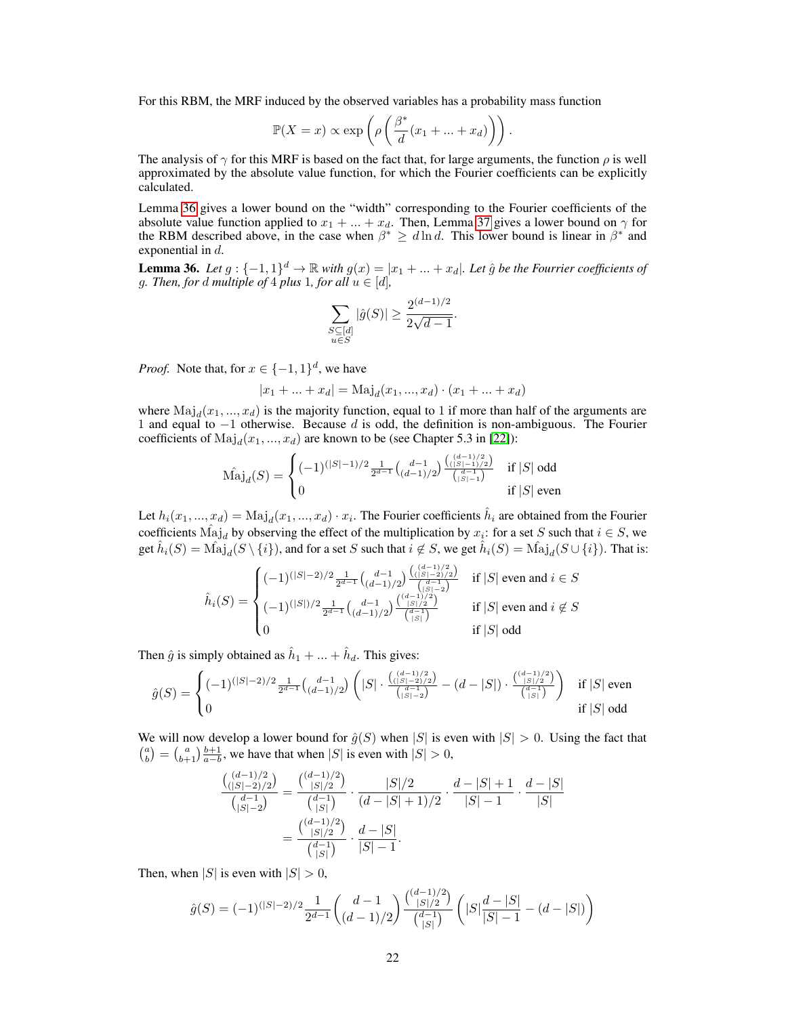For this RBM, the MRF induced by the observed variables has a probability mass function

$$
\mathbb{P}(X=x) \propto \exp\left(\rho \left(\frac{\beta^*}{d}(x_1 + \dots + x_d)\right)\right).
$$

The analysis of  $\gamma$  for this MRF is based on the fact that, for large arguments, the function  $\rho$  is well approximated by the absolute value function, for which the Fourier coefficients can be explicitly calculated.

Lemma [36](#page-21-0) gives a lower bound on the "width" corresponding to the Fourier coefficients of the absolute value function applied to  $x_1 + ... + x_d$ . Then, Lemma [37](#page-22-0) gives a lower bound on  $\gamma$  for the RBM described above, in the case when  $\beta^* \geq d \ln d$ . This lower bound is linear in  $\beta^*$  and exponential in d.

<span id="page-21-0"></span>**Lemma 36.** Let  $g: \{-1, 1\}^d \to \mathbb{R}$  with  $g(x) = |x_1 + ... + x_d|$ . Let  $\hat{g}$  be the Fourrier coefficients of g. Then, for d multiple of 4 plus 1, for all  $u \in [d]$ ,

$$
\sum_{\substack{S \subseteq [d] \\ u \in S}} |\hat{g}(S)| \ge \frac{2^{(d-1)/2}}{2\sqrt{d-1}}.
$$

*Proof.* Note that, for  $x \in \{-1, 1\}^d$ , we have

$$
|x_1 + ... + x_d| = \text{Maj}_d(x_1, ..., x_d) \cdot (x_1 + ... + x_d)
$$

where  $\text{Maj}_d(x_1, ..., x_d)$  is the majority function, equal to 1 if more than half of the arguments are 1 and equal to  $-1$  otherwise. Because d is odd, the definition is non-ambiguous. The Fourier coefficients of  $\text{Maj}_d(x_1, ..., x_d)$  are known to be (see Chapter 5.3 in [22]):

$$
\hat{\text{Maj}}_d(S) = \begin{cases}\n(-1)^{(|S|-1)/2} \frac{1}{2^{d-1}} {d-1 \choose (d-1)/2} \frac{\binom{(d-1)/2}{(|S|-1)/2}}{\binom{d-1}{|S|-1}} & \text{if } |S| \text{ odd} \\
0 & \text{if } |S| \text{ even}\n\end{cases}
$$

Let  $h_i(x_1, ..., x_d) = \text{Maj}_d(x_1, ..., x_d) \cdot x_i$ . The Fourier coefficients  $\hat{h}_i$  are obtained from the Fourier coefficients  $\hat{\text{Maj}}_d$  by observing the effect of the multiplication by  $x_i$ : for a set S such that  $i \in S$ , we get  $\hat{h}_i(S) = \hat{\text{Maj}}_d(S \setminus \{i\}),$  and for a set S such that  $i \notin S$ , we get  $\hat{h}_i(S) = \hat{\text{Maj}}_d(S \cup \{i\}).$  That is:

$$
\hat{h}_i(S) = \begin{cases}\n(-1)^{(|S|-2)/2} \frac{1}{2^{d-1}} {d-1 \choose (d-1)/2} \frac{((d-1)/2)}{d-2} & \text{if } |S| \text{ even and } i \in S \\
(-1)^{(|S|)/2} \frac{1}{2^{d-1}} {d-1 \choose (d-1)/2} \frac{((d-1)/2)}{d-2} & \text{if } |S| \text{ even and } i \notin S \\
0 & \text{if } |S| \text{ odd}\n\end{cases}
$$

Then  $\hat{g}$  is simply obtained as  $\hat{h}_1 + ... + \hat{h}_d$ . This gives:

$$
\hat{g}(S) = \begin{cases}\n(-1)^{(|S|-2)/2} \frac{1}{2^{d-1}} {d-1 \choose (d-1)/2} \left( |S| \cdot \frac{\binom{(d-1)/2}{(|S|-2)/2}}{\binom{d-1}{|S|-2}} - (d-|S|) \cdot \frac{\binom{(d-1)/2}{|S|/2}}{\binom{d-1}{|S|}} \right) & \text{if } |S| \text{ even} \\
0 & \text{if } |S| \text{ odd}\n\end{cases}
$$

We will now develop a lower bound for  $\hat{g}(S)$  when  $|S|$  is even with  $|S| > 0$ . Using the fact that  $\binom{a}{b} = \binom{a}{b+1} \frac{b+1}{a-b}$ , we have that when |S| is even with  $|S| > 0$ ,

$$
\frac{\binom{(d-1)/2}{(|S|-2)/2}}{\binom{d-1}{|S|-2}} = \frac{\binom{(d-1)/2}{|S|/2}}{\binom{d-1}{|S|}} \cdot \frac{|S|/2}{(d-|S|+1)/2} \cdot \frac{d-|S|+1}{|S|-1} \cdot \frac{d-|S|}{|S|}
$$

$$
= \frac{\binom{(d-1)/2}{|S|/2}}{\binom{d-1}{|S|}} \cdot \frac{d-|S|}{|S|-1}.
$$

Then, when  $|S|$  is even with  $|S| > 0$ ,

$$
\hat{g}(S)=(-1)^{(|S|-2)/2}\frac{1}{2^{d-1}}\binom{d-1}{(d-1)/2}\frac{\binom{(d-1)/2}{|S|/2}}{\binom{d-1}{|S|}}\left(|S|\frac{d-|S|}{|S|-1}-(d-|S|)\right)
$$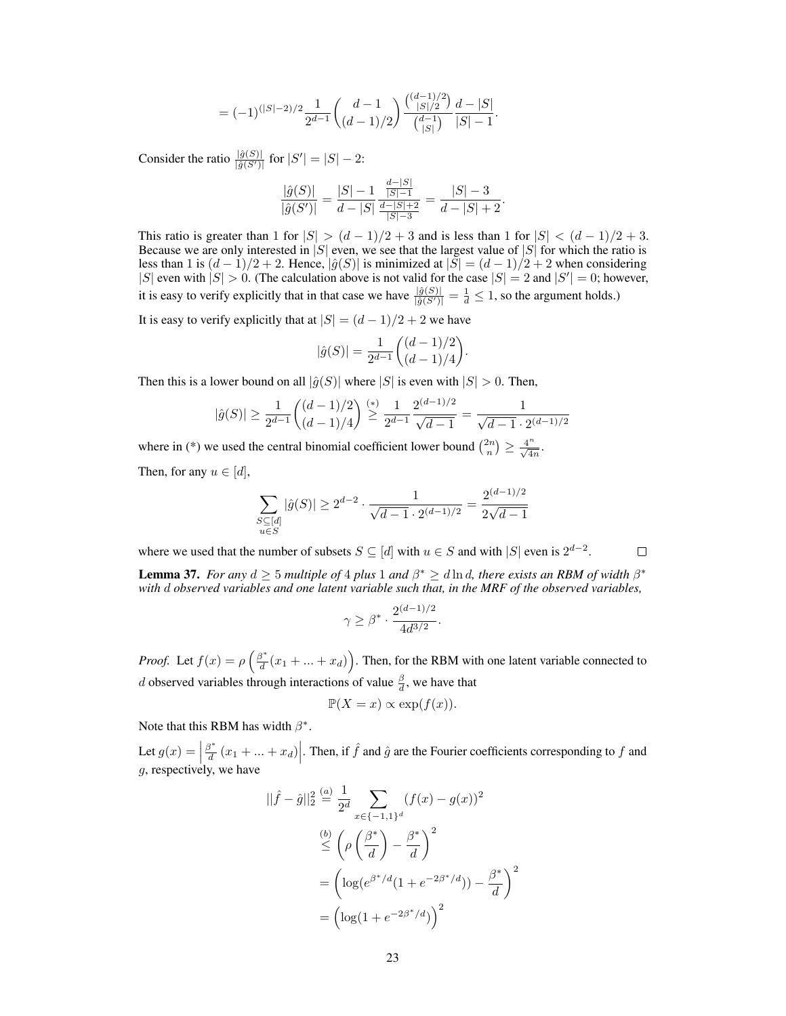$$
=(-1)^{(|S|-2)/2}\frac{1}{2^{d-1}}\binom{d-1}{(d-1)/2}\frac{\binom{(d-1)/2}{|S|/2}}{\binom{d-1}{|S|}}\frac{d-|S|}{|S|-1}.
$$

Consider the ratio  $\frac{|\hat{g}(S)|}{|\hat{g}(S')|}$  for  $|S'| = |S| - 2$ :

$$
\frac{|\hat{g}(S)|}{|\hat{g}(S')|} = \frac{|S| - 1}{d - |S|} \frac{\frac{d - |S|}{|S| - 1}}{\frac{d - |S| + 2}{|S| - 3}} = \frac{|S| - 3}{d - |S| + 2}.
$$

This ratio is greater than 1 for  $|S| > (d-1)/2 + 3$  and is less than 1 for  $|S| < (d-1)/2 + 3$ . Because we are only interested in |S| even, we see that the largest value of  $|S|$  for which the ratio is less than 1 is  $(d-1)/2 + 2$ . Hence,  $|\hat{g}(S)|$  is minimized at  $|S| = (d-1)/2 + 2$  when considering |S| even with  $|S| > 0$ . (The calculation above is not valid for the case  $|S| = 2$  and  $|S'| = 0$ ; however, it is easy to verify explicitly that in that case we have  $\frac{|\hat{g}(S)|}{|\hat{g}(S')|} = \frac{1}{d} \leq 1$ , so the argument holds.)

It is easy to verify explicitly that at  $|S| = (d-1)/2 + 2$  we have

$$
|\hat{g}(S)| = \frac{1}{2^{d-1}} \binom{(d-1)/2}{(d-1)/4}.
$$

Then this is a lower bound on all  $|\hat{g}(S)|$  where  $|S|$  is even with  $|S| > 0$ . Then,

$$
|\hat{g}(S)| \ge \frac{1}{2^{d-1}} \binom{(d-1)/2}{(d-1)/4} \stackrel{(*)}{\ge} \frac{1}{2^{d-1}} \frac{2^{(d-1)/2}}{\sqrt{d-1}} = \frac{1}{\sqrt{d-1} \cdot 2^{(d-1)/2}}
$$

where in (\*) we used the central binomial coefficient lower bound  $\binom{2n}{n} \geq \frac{4^n}{\sqrt{4n}}$ .

Then, for any  $u \in [d]$ ,

$$
\sum_{\substack{S \subseteq [d] \\ u \in S}} |\hat{g}(S)| \ge 2^{d-2} \cdot \frac{1}{\sqrt{d-1} \cdot 2^{(d-1)/2}} = \frac{2^{(d-1)/2}}{2\sqrt{d-1}}
$$

 $\Box$ 

where we used that the number of subsets  $S \subseteq [d]$  with  $u \in S$  and with  $|S|$  even is  $2^{d-2}$ .

<span id="page-22-0"></span>**Lemma 37.** *For any*  $d \geq 5$  *multiple of* 4 *plus* 1 *and*  $\beta^* \geq d \ln d$ , *there exists an RBM of width*  $\beta^*$ *with* d *observed variables and one latent variable such that, in the MRF of the observed variables,*

$$
\gamma \ge \beta^* \cdot \frac{2^{(d-1)/2}}{4d^{3/2}}.
$$

*Proof.* Let  $f(x) = \rho \left( \frac{\beta^*}{d} \right)$  $\frac{d^*d}{dt}(x_1 + ... + x_d)$ . Then, for the RBM with one latent variable connected to *d* observed variables through interactions of value  $\frac{\beta}{d}$ , we have that

$$
\mathbb{P}(X = x) \propto \exp(f(x)).
$$

Note that this RBM has width  $\beta^*$ .

Let  $g(x) = \left| \frac{\beta^*}{d} \right|$  $g$ , respectively, we have  $\left|\frac{\partial^*}{\partial t}(x_1 + ... + x_d)\right|$ . Then, if  $\hat{f}$  and  $\hat{g}$  are the Fourier coefficients corresponding to f and

$$
||\hat{f} - \hat{g}||_2^2 \stackrel{(a)}{=} \frac{1}{2^d} \sum_{x \in \{-1, 1\}^d} (f(x) - g(x))^2
$$
  

$$
\stackrel{(b)}{\leq} \left(\rho \left(\frac{\beta^*}{d}\right) - \frac{\beta^*}{d}\right)^2
$$
  

$$
= \left(\log(e^{\beta^*/d}(1 + e^{-2\beta^*/d})) - \frac{\beta^*}{d}\right)^2
$$
  

$$
= \left(\log(1 + e^{-2\beta^*/d})\right)^2
$$